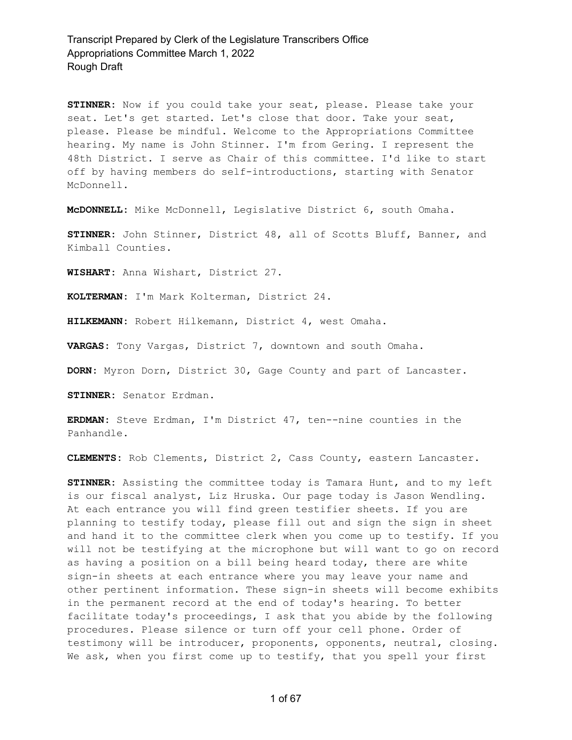**STINNER:** Now if you could take your seat, please. Please take your seat. Let's get started. Let's close that door. Take your seat, please. Please be mindful. Welcome to the Appropriations Committee hearing. My name is John Stinner. I'm from Gering. I represent the 48th District. I serve as Chair of this committee. I'd like to start off by having members do self-introductions, starting with Senator McDonnell.

**McDONNELL:** Mike McDonnell, Legislative District 6, south Omaha.

**STINNER:** John Stinner, District 48, all of Scotts Bluff, Banner, and Kimball Counties.

**WISHART:** Anna Wishart, District 27.

**KOLTERMAN:** I'm Mark Kolterman, District 24.

**HILKEMANN:** Robert Hilkemann, District 4, west Omaha.

**VARGAS:** Tony Vargas, District 7, downtown and south Omaha.

**DORN:** Myron Dorn, District 30, Gage County and part of Lancaster.

**STINNER:** Senator Erdman.

**ERDMAN:** Steve Erdman, I'm District 47, ten--nine counties in the Panhandle.

**CLEMENTS:** Rob Clements, District 2, Cass County, eastern Lancaster.

**STINNER:** Assisting the committee today is Tamara Hunt, and to my left is our fiscal analyst, Liz Hruska. Our page today is Jason Wendling. At each entrance you will find green testifier sheets. If you are planning to testify today, please fill out and sign the sign in sheet and hand it to the committee clerk when you come up to testify. If you will not be testifying at the microphone but will want to go on record as having a position on a bill being heard today, there are white sign-in sheets at each entrance where you may leave your name and other pertinent information. These sign-in sheets will become exhibits in the permanent record at the end of today's hearing. To better facilitate today's proceedings, I ask that you abide by the following procedures. Please silence or turn off your cell phone. Order of testimony will be introducer, proponents, opponents, neutral, closing. We ask, when you first come up to testify, that you spell your first

1 of 67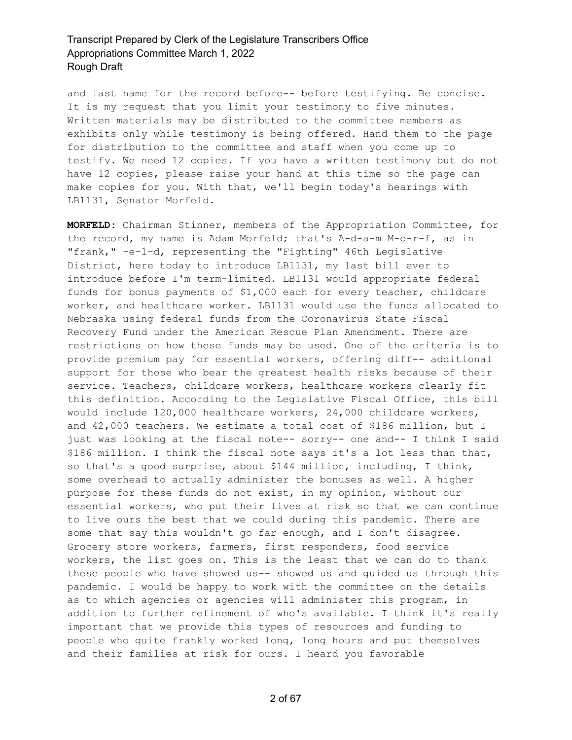and last name for the record before-- before testifying. Be concise. It is my request that you limit your testimony to five minutes. Written materials may be distributed to the committee members as exhibits only while testimony is being offered. Hand them to the page for distribution to the committee and staff when you come up to testify. We need 12 copies. If you have a written testimony but do not have 12 copies, please raise your hand at this time so the page can make copies for you. With that, we'll begin today's hearings with LB1131, Senator Morfeld.

**MORFELD:** Chairman Stinner, members of the Appropriation Committee, for the record, my name is Adam Morfeld; that's A-d-a-m M-o-r-f, as in "frank," -e-l-d, representing the "Fighting" 46th Legislative District, here today to introduce LB1131, my last bill ever to introduce before I'm term-limited. LB1131 would appropriate federal funds for bonus payments of \$1,000 each for every teacher, childcare worker, and healthcare worker. LB1131 would use the funds allocated to Nebraska using federal funds from the Coronavirus State Fiscal Recovery Fund under the American Rescue Plan Amendment. There are restrictions on how these funds may be used. One of the criteria is to provide premium pay for essential workers, offering diff-- additional support for those who bear the greatest health risks because of their service. Teachers, childcare workers, healthcare workers clearly fit this definition. According to the Legislative Fiscal Office, this bill would include 120,000 healthcare workers, 24,000 childcare workers, and 42,000 teachers. We estimate a total cost of \$186 million, but I just was looking at the fiscal note-- sorry-- one and-- I think I said \$186 million. I think the fiscal note says it's a lot less than that, so that's a good surprise, about \$144 million, including, I think, some overhead to actually administer the bonuses as well. A higher purpose for these funds do not exist, in my opinion, without our essential workers, who put their lives at risk so that we can continue to live ours the best that we could during this pandemic. There are some that say this wouldn't go far enough, and I don't disagree. Grocery store workers, farmers, first responders, food service workers, the list goes on. This is the least that we can do to thank these people who have showed us-- showed us and guided us through this pandemic. I would be happy to work with the committee on the details as to which agencies or agencies will administer this program, in addition to further refinement of who's available. I think it's really important that we provide this types of resources and funding to people who quite frankly worked long, long hours and put themselves and their families at risk for ours. I heard you favorable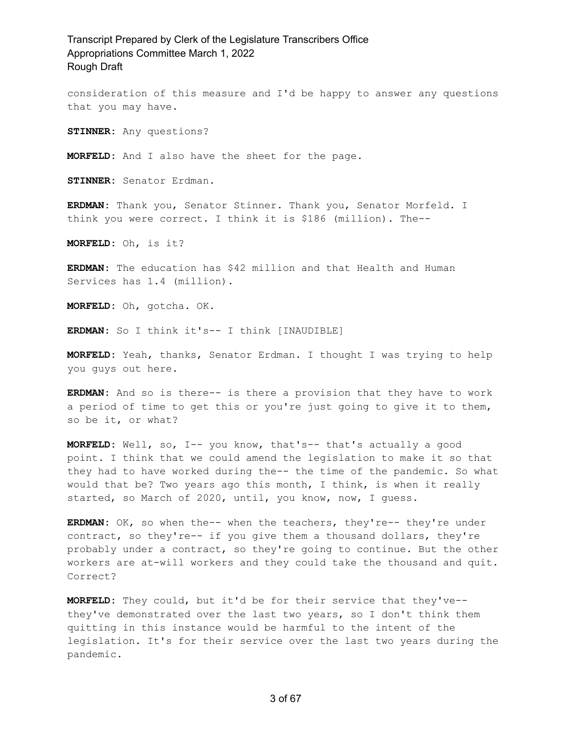consideration of this measure and I'd be happy to answer any questions that you may have.

**STINNER:** Any questions?

**MORFELD:** And I also have the sheet for the page.

**STINNER:** Senator Erdman.

**ERDMAN:** Thank you, Senator Stinner. Thank you, Senator Morfeld. I think you were correct. I think it is \$186 (million). The--

**MORFELD:** Oh, is it?

**ERDMAN:** The education has \$42 million and that Health and Human Services has 1.4 (million).

**MORFELD:** Oh, gotcha. OK.

**ERDMAN:** So I think it's-- I think [INAUDIBLE]

**MORFELD:** Yeah, thanks, Senator Erdman. I thought I was trying to help you guys out here.

**ERDMAN:** And so is there-- is there a provision that they have to work a period of time to get this or you're just going to give it to them, so be it, or what?

**MORFELD:** Well, so, I-- you know, that's-- that's actually a good point. I think that we could amend the legislation to make it so that they had to have worked during the-- the time of the pandemic. So what would that be? Two years ago this month, I think, is when it really started, so March of 2020, until, you know, now, I guess.

**ERDMAN:** OK, so when the-- when the teachers, they're-- they're under contract, so they're-- if you give them a thousand dollars, they're probably under a contract, so they're going to continue. But the other workers are at-will workers and they could take the thousand and quit. Correct?

**MORFELD:** They could, but it'd be for their service that they've- they've demonstrated over the last two years, so I don't think them quitting in this instance would be harmful to the intent of the legislation. It's for their service over the last two years during the pandemic.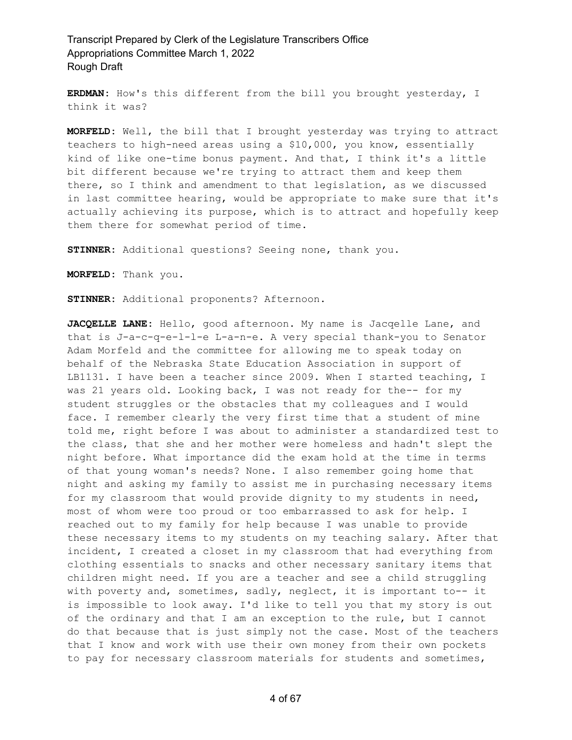**ERDMAN:** How's this different from the bill you brought yesterday, I think it was?

**MORFELD:** Well, the bill that I brought yesterday was trying to attract teachers to high-need areas using a \$10,000, you know, essentially kind of like one-time bonus payment. And that, I think it's a little bit different because we're trying to attract them and keep them there, so I think and amendment to that legislation, as we discussed in last committee hearing, would be appropriate to make sure that it's actually achieving its purpose, which is to attract and hopefully keep them there for somewhat period of time.

**STINNER:** Additional questions? Seeing none, thank you.

**MORFELD:** Thank you.

**STINNER:** Additional proponents? Afternoon.

**JACQELLE LANE:** Hello, good afternoon. My name is Jacqelle Lane, and that is J-a-c-q-e-l-l-e L-a-n-e. A very special thank-you to Senator Adam Morfeld and the committee for allowing me to speak today on behalf of the Nebraska State Education Association in support of LB1131. I have been a teacher since 2009. When I started teaching, I was 21 years old. Looking back, I was not ready for the-- for my student struggles or the obstacles that my colleagues and I would face. I remember clearly the very first time that a student of mine told me, right before I was about to administer a standardized test to the class, that she and her mother were homeless and hadn't slept the night before. What importance did the exam hold at the time in terms of that young woman's needs? None. I also remember going home that night and asking my family to assist me in purchasing necessary items for my classroom that would provide dignity to my students in need, most of whom were too proud or too embarrassed to ask for help. I reached out to my family for help because I was unable to provide these necessary items to my students on my teaching salary. After that incident, I created a closet in my classroom that had everything from clothing essentials to snacks and other necessary sanitary items that children might need. If you are a teacher and see a child struggling with poverty and, sometimes, sadly, neglect, it is important to-- it is impossible to look away. I'd like to tell you that my story is out of the ordinary and that I am an exception to the rule, but I cannot do that because that is just simply not the case. Most of the teachers that I know and work with use their own money from their own pockets to pay for necessary classroom materials for students and sometimes,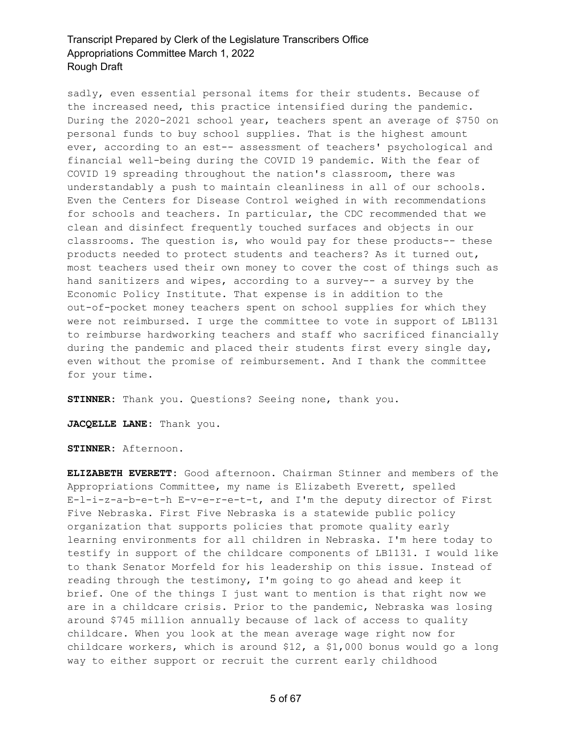sadly, even essential personal items for their students. Because of the increased need, this practice intensified during the pandemic. During the 2020-2021 school year, teachers spent an average of \$750 on personal funds to buy school supplies. That is the highest amount ever, according to an est-- assessment of teachers' psychological and financial well-being during the COVID 19 pandemic. With the fear of COVID 19 spreading throughout the nation's classroom, there was understandably a push to maintain cleanliness in all of our schools. Even the Centers for Disease Control weighed in with recommendations for schools and teachers. In particular, the CDC recommended that we clean and disinfect frequently touched surfaces and objects in our classrooms. The question is, who would pay for these products-- these products needed to protect students and teachers? As it turned out, most teachers used their own money to cover the cost of things such as hand sanitizers and wipes, according to a survey-- a survey by the Economic Policy Institute. That expense is in addition to the out-of-pocket money teachers spent on school supplies for which they were not reimbursed. I urge the committee to vote in support of LB1131 to reimburse hardworking teachers and staff who sacrificed financially during the pandemic and placed their students first every single day, even without the promise of reimbursement. And I thank the committee for your time.

**STINNER:** Thank you. Questions? Seeing none, thank you.

**JACQELLE LANE:** Thank you.

**STINNER:** Afternoon.

**ELIZABETH EVERETT:** Good afternoon. Chairman Stinner and members of the Appropriations Committee, my name is Elizabeth Everett, spelled E-l-i-z-a-b-e-t-h E-v-e-r-e-t-t, and I'm the deputy director of First Five Nebraska. First Five Nebraska is a statewide public policy organization that supports policies that promote quality early learning environments for all children in Nebraska. I'm here today to testify in support of the childcare components of LB1131. I would like to thank Senator Morfeld for his leadership on this issue. Instead of reading through the testimony, I'm going to go ahead and keep it brief. One of the things I just want to mention is that right now we are in a childcare crisis. Prior to the pandemic, Nebraska was losing around \$745 million annually because of lack of access to quality childcare. When you look at the mean average wage right now for childcare workers, which is around \$12, a \$1,000 bonus would go a long way to either support or recruit the current early childhood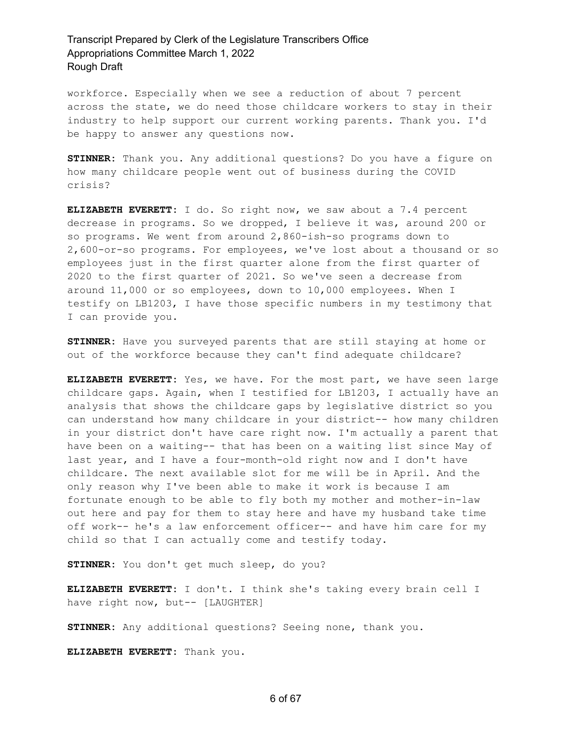workforce. Especially when we see a reduction of about 7 percent across the state, we do need those childcare workers to stay in their industry to help support our current working parents. Thank you. I'd be happy to answer any questions now.

**STINNER:** Thank you. Any additional questions? Do you have a figure on how many childcare people went out of business during the COVID crisis?

**ELIZABETH EVERETT:** I do. So right now, we saw about a 7.4 percent decrease in programs. So we dropped, I believe it was, around 200 or so programs. We went from around 2,860-ish-so programs down to 2,600-or-so programs. For employees, we've lost about a thousand or so employees just in the first quarter alone from the first quarter of 2020 to the first quarter of 2021. So we've seen a decrease from around 11,000 or so employees, down to 10,000 employees. When I testify on LB1203, I have those specific numbers in my testimony that I can provide you.

**STINNER:** Have you surveyed parents that are still staying at home or out of the workforce because they can't find adequate childcare?

**ELIZABETH EVERETT:** Yes, we have. For the most part, we have seen large childcare gaps. Again, when I testified for LB1203, I actually have an analysis that shows the childcare gaps by legislative district so you can understand how many childcare in your district-- how many children in your district don't have care right now. I'm actually a parent that have been on a waiting-- that has been on a waiting list since May of last year, and I have a four-month-old right now and I don't have childcare. The next available slot for me will be in April. And the only reason why I've been able to make it work is because I am fortunate enough to be able to fly both my mother and mother-in-law out here and pay for them to stay here and have my husband take time off work-- he's a law enforcement officer-- and have him care for my child so that I can actually come and testify today.

**STINNER:** You don't get much sleep, do you?

**ELIZABETH EVERETT:** I don't. I think she's taking every brain cell I have right now, but-- [LAUGHTER]

**STINNER:** Any additional questions? Seeing none, thank you.

**ELIZABETH EVERETT:** Thank you.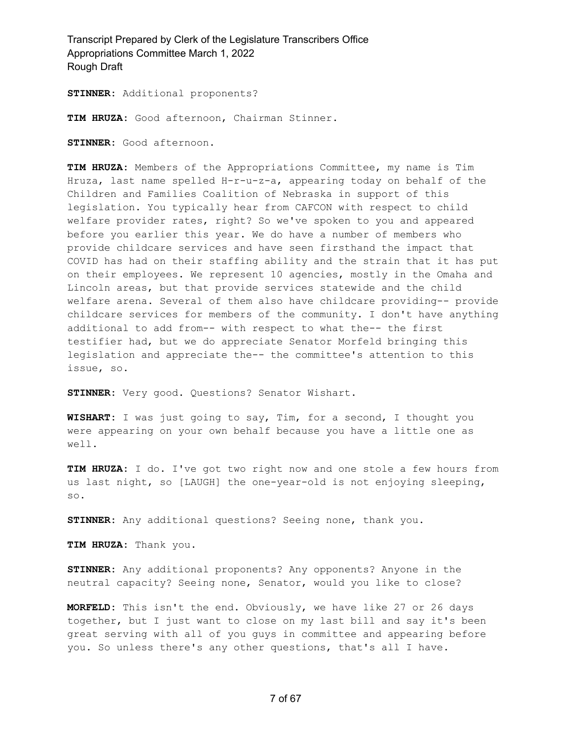**STINNER:** Additional proponents?

**TIM HRUZA:** Good afternoon, Chairman Stinner.

**STINNER:** Good afternoon.

**TIM HRUZA:** Members of the Appropriations Committee, my name is Tim Hruza, last name spelled H-r-u-z-a, appearing today on behalf of the Children and Families Coalition of Nebraska in support of this legislation. You typically hear from CAFCON with respect to child welfare provider rates, right? So we've spoken to you and appeared before you earlier this year. We do have a number of members who provide childcare services and have seen firsthand the impact that COVID has had on their staffing ability and the strain that it has put on their employees. We represent 10 agencies, mostly in the Omaha and Lincoln areas, but that provide services statewide and the child welfare arena. Several of them also have childcare providing-- provide childcare services for members of the community. I don't have anything additional to add from-- with respect to what the-- the first testifier had, but we do appreciate Senator Morfeld bringing this legislation and appreciate the-- the committee's attention to this issue, so.

**STINNER:** Very good. Questions? Senator Wishart.

**WISHART:** I was just going to say, Tim, for a second, I thought you were appearing on your own behalf because you have a little one as well.

**TIM HRUZA:** I do. I've got two right now and one stole a few hours from us last night, so [LAUGH] the one-year-old is not enjoying sleeping, so.

**STINNER:** Any additional questions? Seeing none, thank you.

**TIM HRUZA:** Thank you.

**STINNER:** Any additional proponents? Any opponents? Anyone in the neutral capacity? Seeing none, Senator, would you like to close?

**MORFELD:** This isn't the end. Obviously, we have like 27 or 26 days together, but I just want to close on my last bill and say it's been great serving with all of you guys in committee and appearing before you. So unless there's any other questions, that's all I have.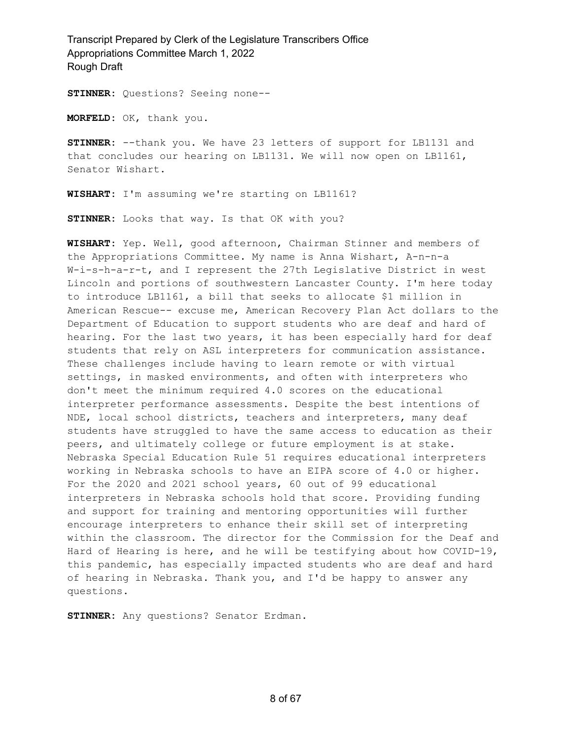**STINNER:** Questions? Seeing none--

**MORFELD:** OK, thank you.

**STINNER:** --thank you. We have 23 letters of support for LB1131 and that concludes our hearing on LB1131. We will now open on LB1161, Senator Wishart.

**WISHART:** I'm assuming we're starting on LB1161?

**STINNER:** Looks that way. Is that OK with you?

**WISHART:** Yep. Well, good afternoon, Chairman Stinner and members of the Appropriations Committee. My name is Anna Wishart, A-n-n-a W-i-s-h-a-r-t, and I represent the 27th Legislative District in west Lincoln and portions of southwestern Lancaster County. I'm here today to introduce LB1161, a bill that seeks to allocate \$1 million in American Rescue-- excuse me, American Recovery Plan Act dollars to the Department of Education to support students who are deaf and hard of hearing. For the last two years, it has been especially hard for deaf students that rely on ASL interpreters for communication assistance. These challenges include having to learn remote or with virtual settings, in masked environments, and often with interpreters who don't meet the minimum required 4.0 scores on the educational interpreter performance assessments. Despite the best intentions of NDE, local school districts, teachers and interpreters, many deaf students have struggled to have the same access to education as their peers, and ultimately college or future employment is at stake. Nebraska Special Education Rule 51 requires educational interpreters working in Nebraska schools to have an EIPA score of 4.0 or higher. For the 2020 and 2021 school years, 60 out of 99 educational interpreters in Nebraska schools hold that score. Providing funding and support for training and mentoring opportunities will further encourage interpreters to enhance their skill set of interpreting within the classroom. The director for the Commission for the Deaf and Hard of Hearing is here, and he will be testifying about how COVID-19, this pandemic, has especially impacted students who are deaf and hard of hearing in Nebraska. Thank you, and I'd be happy to answer any questions.

**STINNER:** Any questions? Senator Erdman.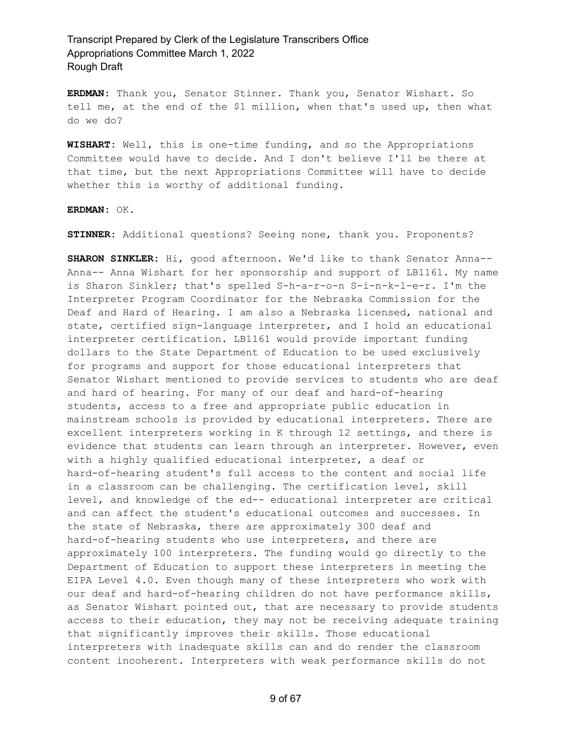**ERDMAN:** Thank you, Senator Stinner. Thank you, Senator Wishart. So tell me, at the end of the \$1 million, when that's used up, then what do we do?

**WISHART:** Well, this is one-time funding, and so the Appropriations Committee would have to decide. And I don't believe I'll be there at that time, but the next Appropriations Committee will have to decide whether this is worthy of additional funding.

**ERDMAN:** OK.

**STINNER:** Additional questions? Seeing none, thank you. Proponents?

**SHARON SINKLER:** Hi, good afternoon. We'd like to thank Senator Anna-- Anna-- Anna Wishart for her sponsorship and support of LB1161. My name is Sharon Sinkler; that's spelled S-h-a-r-o-n S-i-n-k-l-e-r. I'm the Interpreter Program Coordinator for the Nebraska Commission for the Deaf and Hard of Hearing. I am also a Nebraska licensed, national and state, certified sign-language interpreter, and I hold an educational interpreter certification. LB1161 would provide important funding dollars to the State Department of Education to be used exclusively for programs and support for those educational interpreters that Senator Wishart mentioned to provide services to students who are deaf and hard of hearing. For many of our deaf and hard-of-hearing students, access to a free and appropriate public education in mainstream schools is provided by educational interpreters. There are excellent interpreters working in K through 12 settings, and there is evidence that students can learn through an interpreter. However, even with a highly qualified educational interpreter, a deaf or hard-of-hearing student's full access to the content and social life in a classroom can be challenging. The certification level, skill level, and knowledge of the ed-- educational interpreter are critical and can affect the student's educational outcomes and successes. In the state of Nebraska, there are approximately 300 deaf and hard-of-hearing students who use interpreters, and there are approximately 100 interpreters. The funding would go directly to the Department of Education to support these interpreters in meeting the EIPA Level 4.0. Even though many of these interpreters who work with our deaf and hard-of-hearing children do not have performance skills, as Senator Wishart pointed out, that are necessary to provide students access to their education, they may not be receiving adequate training that significantly improves their skills. Those educational interpreters with inadequate skills can and do render the classroom content incoherent. Interpreters with weak performance skills do not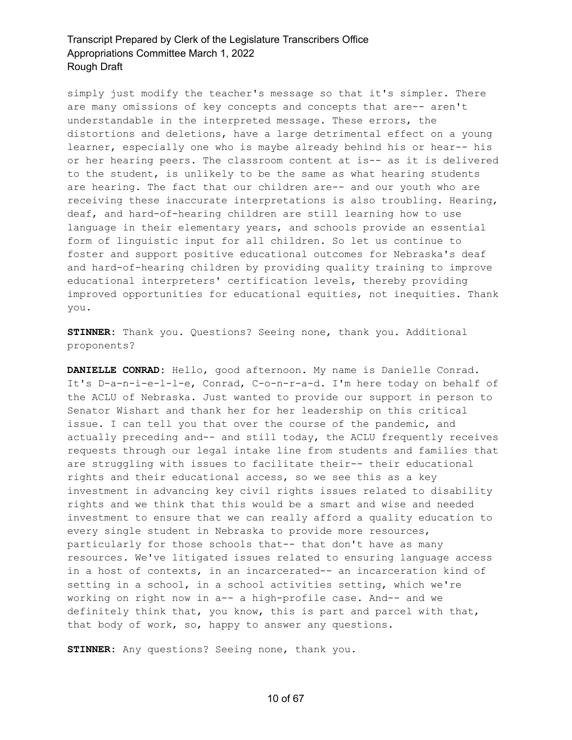simply just modify the teacher's message so that it's simpler. There are many omissions of key concepts and concepts that are-- aren't understandable in the interpreted message. These errors, the distortions and deletions, have a large detrimental effect on a young learner, especially one who is maybe already behind his or hear-- his or her hearing peers. The classroom content at is-- as it is delivered to the student, is unlikely to be the same as what hearing students are hearing. The fact that our children are-- and our youth who are receiving these inaccurate interpretations is also troubling. Hearing, deaf, and hard-of-hearing children are still learning how to use language in their elementary years, and schools provide an essential form of linguistic input for all children. So let us continue to foster and support positive educational outcomes for Nebraska's deaf and hard-of-hearing children by providing quality training to improve educational interpreters' certification levels, thereby providing improved opportunities for educational equities, not inequities. Thank you.

**STINNER:** Thank you. Questions? Seeing none, thank you. Additional proponents?

**DANIELLE CONRAD:** Hello, good afternoon. My name is Danielle Conrad. It's D-a-n-i-e-l-l-e, Conrad, C-o-n-r-a-d. I'm here today on behalf of the ACLU of Nebraska. Just wanted to provide our support in person to Senator Wishart and thank her for her leadership on this critical issue. I can tell you that over the course of the pandemic, and actually preceding and-- and still today, the ACLU frequently receives requests through our legal intake line from students and families that are struggling with issues to facilitate their-- their educational rights and their educational access, so we see this as a key investment in advancing key civil rights issues related to disability rights and we think that this would be a smart and wise and needed investment to ensure that we can really afford a quality education to every single student in Nebraska to provide more resources, particularly for those schools that-- that don't have as many resources. We've litigated issues related to ensuring language access in a host of contexts, in an incarcerated-- an incarceration kind of setting in a school, in a school activities setting, which we're working on right now in a-- a high-profile case. And-- and we definitely think that, you know, this is part and parcel with that, that body of work, so, happy to answer any questions.

**STINNER:** Any questions? Seeing none, thank you.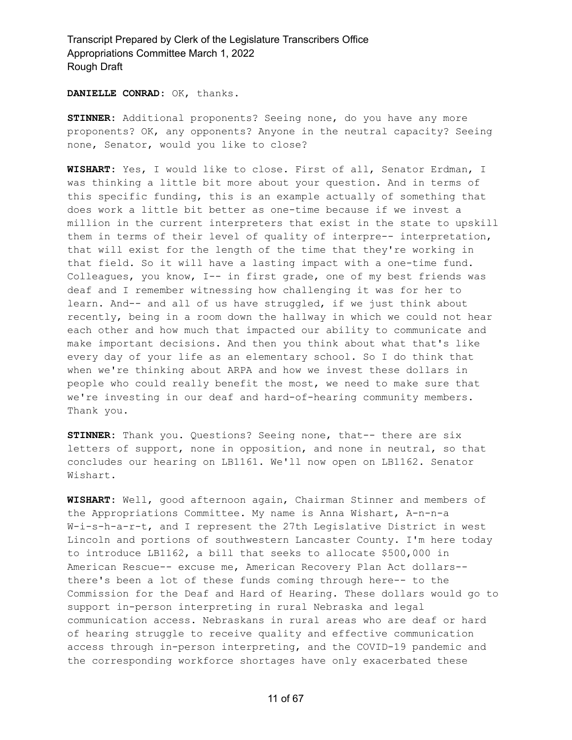**DANIELLE CONRAD:** OK, thanks.

**STINNER:** Additional proponents? Seeing none, do you have any more proponents? OK, any opponents? Anyone in the neutral capacity? Seeing none, Senator, would you like to close?

**WISHART:** Yes, I would like to close. First of all, Senator Erdman, I was thinking a little bit more about your question. And in terms of this specific funding, this is an example actually of something that does work a little bit better as one-time because if we invest a million in the current interpreters that exist in the state to upskill them in terms of their level of quality of interpre-- interpretation, that will exist for the length of the time that they're working in that field. So it will have a lasting impact with a one-time fund. Colleagues, you know, I-- in first grade, one of my best friends was deaf and I remember witnessing how challenging it was for her to learn. And-- and all of us have struggled, if we just think about recently, being in a room down the hallway in which we could not hear each other and how much that impacted our ability to communicate and make important decisions. And then you think about what that's like every day of your life as an elementary school. So I do think that when we're thinking about ARPA and how we invest these dollars in people who could really benefit the most, we need to make sure that we're investing in our deaf and hard-of-hearing community members. Thank you.

**STINNER:** Thank you. Questions? Seeing none, that-- there are six letters of support, none in opposition, and none in neutral, so that concludes our hearing on LB1161. We'll now open on LB1162. Senator Wishart.

**WISHART:** Well, good afternoon again, Chairman Stinner and members of the Appropriations Committee. My name is Anna Wishart, A-n-n-a W-i-s-h-a-r-t, and I represent the 27th Legislative District in west Lincoln and portions of southwestern Lancaster County. I'm here today to introduce LB1162, a bill that seeks to allocate \$500,000 in American Rescue-- excuse me, American Recovery Plan Act dollars- there's been a lot of these funds coming through here-- to the Commission for the Deaf and Hard of Hearing. These dollars would go to support in-person interpreting in rural Nebraska and legal communication access. Nebraskans in rural areas who are deaf or hard of hearing struggle to receive quality and effective communication access through in-person interpreting, and the COVID-19 pandemic and the corresponding workforce shortages have only exacerbated these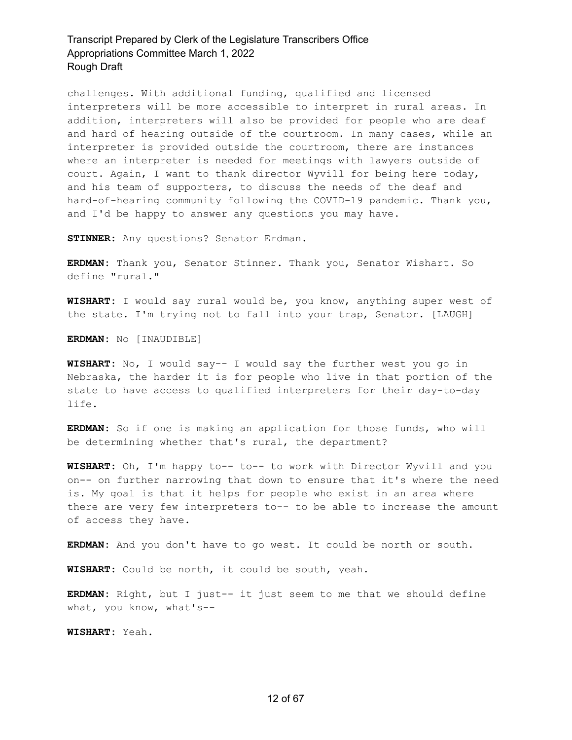challenges. With additional funding, qualified and licensed interpreters will be more accessible to interpret in rural areas. In addition, interpreters will also be provided for people who are deaf and hard of hearing outside of the courtroom. In many cases, while an interpreter is provided outside the courtroom, there are instances where an interpreter is needed for meetings with lawyers outside of court. Again, I want to thank director Wyvill for being here today, and his team of supporters, to discuss the needs of the deaf and hard-of-hearing community following the COVID-19 pandemic. Thank you, and I'd be happy to answer any questions you may have.

**STINNER:** Any questions? Senator Erdman.

**ERDMAN:** Thank you, Senator Stinner. Thank you, Senator Wishart. So define "rural."

**WISHART:** I would say rural would be, you know, anything super west of the state. I'm trying not to fall into your trap, Senator. [LAUGH]

**ERDMAN:** No [INAUDIBLE]

**WISHART:** No, I would say-- I would say the further west you go in Nebraska, the harder it is for people who live in that portion of the state to have access to qualified interpreters for their day-to-day life.

**ERDMAN:** So if one is making an application for those funds, who will be determining whether that's rural, the department?

**WISHART:** Oh, I'm happy to-- to-- to work with Director Wyvill and you on-- on further narrowing that down to ensure that it's where the need is. My goal is that it helps for people who exist in an area where there are very few interpreters to-- to be able to increase the amount of access they have.

**ERDMAN:** And you don't have to go west. It could be north or south.

**WISHART:** Could be north, it could be south, yeah.

**ERDMAN:** Right, but I just-- it just seem to me that we should define what, you know, what's--

**WISHART:** Yeah.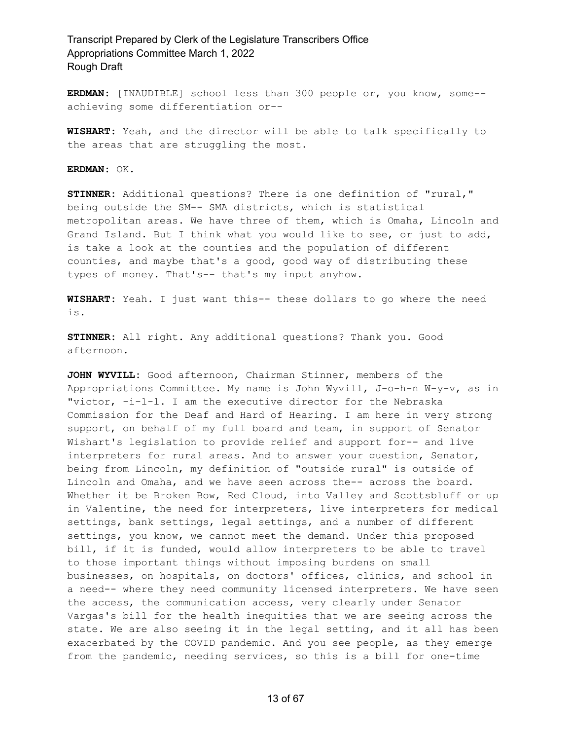**ERDMAN:** [INAUDIBLE] school less than 300 people or, you know, some- achieving some differentiation or--

**WISHART:** Yeah, and the director will be able to talk specifically to the areas that are struggling the most.

**ERDMAN:** OK.

**STINNER:** Additional questions? There is one definition of "rural," being outside the SM-- SMA districts, which is statistical metropolitan areas. We have three of them, which is Omaha, Lincoln and Grand Island. But I think what you would like to see, or just to add, is take a look at the counties and the population of different counties, and maybe that's a good, good way of distributing these types of money. That's-- that's my input anyhow.

**WISHART:** Yeah. I just want this-- these dollars to go where the need is.

**STINNER:** All right. Any additional questions? Thank you. Good afternoon.

**JOHN WYVILL:** Good afternoon, Chairman Stinner, members of the Appropriations Committee. My name is John Wyvill, J-o-h-n W-y-v, as in "victor, -i-l-l. I am the executive director for the Nebraska Commission for the Deaf and Hard of Hearing. I am here in very strong support, on behalf of my full board and team, in support of Senator Wishart's legislation to provide relief and support for-- and live interpreters for rural areas. And to answer your question, Senator, being from Lincoln, my definition of "outside rural" is outside of Lincoln and Omaha, and we have seen across the-- across the board. Whether it be Broken Bow, Red Cloud, into Valley and Scottsbluff or up in Valentine, the need for interpreters, live interpreters for medical settings, bank settings, legal settings, and a number of different settings, you know, we cannot meet the demand. Under this proposed bill, if it is funded, would allow interpreters to be able to travel to those important things without imposing burdens on small businesses, on hospitals, on doctors' offices, clinics, and school in a need-- where they need community licensed interpreters. We have seen the access, the communication access, very clearly under Senator Vargas's bill for the health inequities that we are seeing across the state. We are also seeing it in the legal setting, and it all has been exacerbated by the COVID pandemic. And you see people, as they emerge from the pandemic, needing services, so this is a bill for one-time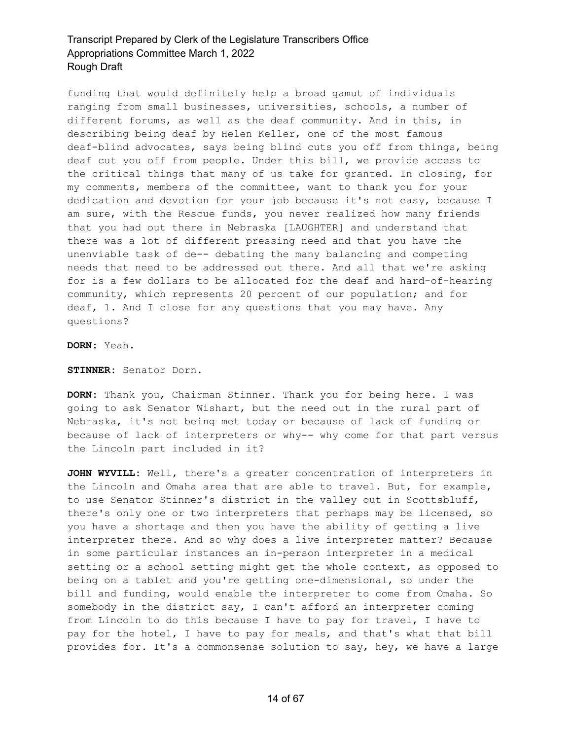funding that would definitely help a broad gamut of individuals ranging from small businesses, universities, schools, a number of different forums, as well as the deaf community. And in this, in describing being deaf by Helen Keller, one of the most famous deaf-blind advocates, says being blind cuts you off from things, being deaf cut you off from people. Under this bill, we provide access to the critical things that many of us take for granted. In closing, for my comments, members of the committee, want to thank you for your dedication and devotion for your job because it's not easy, because I am sure, with the Rescue funds, you never realized how many friends that you had out there in Nebraska [LAUGHTER] and understand that there was a lot of different pressing need and that you have the unenviable task of de-- debating the many balancing and competing needs that need to be addressed out there. And all that we're asking for is a few dollars to be allocated for the deaf and hard-of-hearing community, which represents 20 percent of our population; and for deaf, 1. And I close for any questions that you may have. Any questions?

**DORN:** Yeah.

**STINNER:** Senator Dorn.

**DORN:** Thank you, Chairman Stinner. Thank you for being here. I was going to ask Senator Wishart, but the need out in the rural part of Nebraska, it's not being met today or because of lack of funding or because of lack of interpreters or why-- why come for that part versus the Lincoln part included in it?

**JOHN WYVILL:** Well, there's a greater concentration of interpreters in the Lincoln and Omaha area that are able to travel. But, for example, to use Senator Stinner's district in the valley out in Scottsbluff, there's only one or two interpreters that perhaps may be licensed, so you have a shortage and then you have the ability of getting a live interpreter there. And so why does a live interpreter matter? Because in some particular instances an in-person interpreter in a medical setting or a school setting might get the whole context, as opposed to being on a tablet and you're getting one-dimensional, so under the bill and funding, would enable the interpreter to come from Omaha. So somebody in the district say, I can't afford an interpreter coming from Lincoln to do this because I have to pay for travel, I have to pay for the hotel, I have to pay for meals, and that's what that bill provides for. It's a commonsense solution to say, hey, we have a large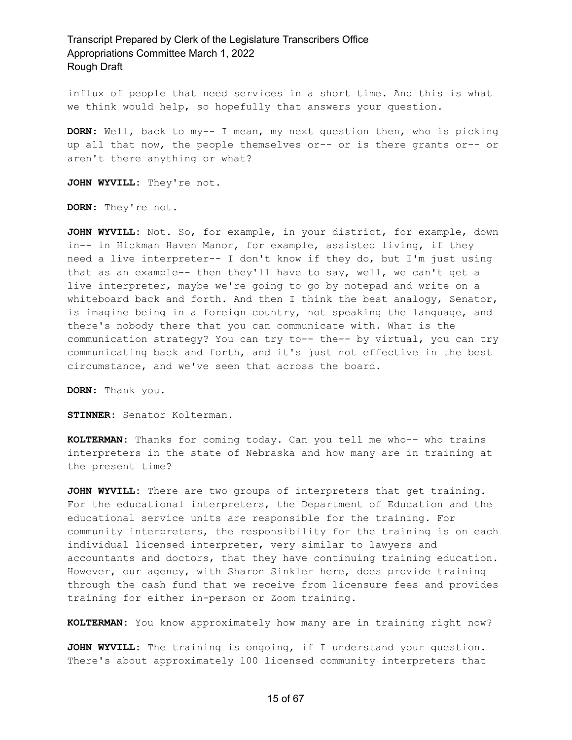influx of people that need services in a short time. And this is what we think would help, so hopefully that answers your question.

**DORN:** Well, back to my-- I mean, my next question then, who is picking up all that now, the people themselves or-- or is there grants or-- or aren't there anything or what?

**JOHN WYVILL:** They're not.

**DORN:** They're not.

**JOHN WYVILL:** Not. So, for example, in your district, for example, down in-- in Hickman Haven Manor, for example, assisted living, if they need a live interpreter-- I don't know if they do, but I'm just using that as an example-- then they'll have to say, well, we can't get a live interpreter, maybe we're going to go by notepad and write on a whiteboard back and forth. And then I think the best analogy, Senator, is imagine being in a foreign country, not speaking the language, and there's nobody there that you can communicate with. What is the communication strategy? You can try to-- the-- by virtual, you can try communicating back and forth, and it's just not effective in the best circumstance, and we've seen that across the board.

**DORN:** Thank you.

**STINNER:** Senator Kolterman.

**KOLTERMAN:** Thanks for coming today. Can you tell me who-- who trains interpreters in the state of Nebraska and how many are in training at the present time?

**JOHN WYVILL:** There are two groups of interpreters that get training. For the educational interpreters, the Department of Education and the educational service units are responsible for the training. For community interpreters, the responsibility for the training is on each individual licensed interpreter, very similar to lawyers and accountants and doctors, that they have continuing training education. However, our agency, with Sharon Sinkler here, does provide training through the cash fund that we receive from licensure fees and provides training for either in-person or Zoom training.

**KOLTERMAN:** You know approximately how many are in training right now?

**JOHN WYVILL:** The training is ongoing, if I understand your question. There's about approximately 100 licensed community interpreters that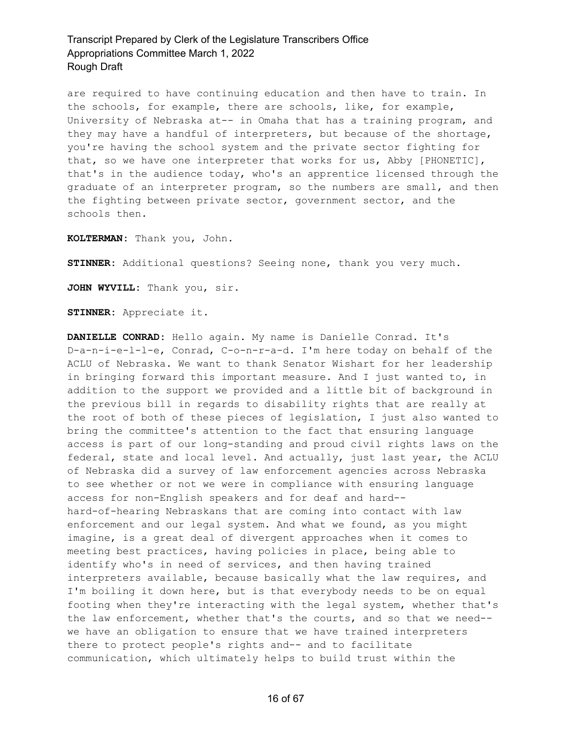are required to have continuing education and then have to train. In the schools, for example, there are schools, like, for example, University of Nebraska at-- in Omaha that has a training program, and they may have a handful of interpreters, but because of the shortage, you're having the school system and the private sector fighting for that, so we have one interpreter that works for us, Abby [PHONETIC], that's in the audience today, who's an apprentice licensed through the graduate of an interpreter program, so the numbers are small, and then the fighting between private sector, government sector, and the schools then.

**KOLTERMAN:** Thank you, John.

**STINNER:** Additional questions? Seeing none, thank you very much.

**JOHN WYVILL:** Thank you, sir.

**STINNER:** Appreciate it.

**DANIELLE CONRAD:** Hello again. My name is Danielle Conrad. It's D-a-n-i-e-l-l-e, Conrad, C-o-n-r-a-d. I'm here today on behalf of the ACLU of Nebraska. We want to thank Senator Wishart for her leadership in bringing forward this important measure. And I just wanted to, in addition to the support we provided and a little bit of background in the previous bill in regards to disability rights that are really at the root of both of these pieces of legislation, I just also wanted to bring the committee's attention to the fact that ensuring language access is part of our long-standing and proud civil rights laws on the federal, state and local level. And actually, just last year, the ACLU of Nebraska did a survey of law enforcement agencies across Nebraska to see whether or not we were in compliance with ensuring language access for non-English speakers and for deaf and hard- hard-of-hearing Nebraskans that are coming into contact with law enforcement and our legal system. And what we found, as you might imagine, is a great deal of divergent approaches when it comes to meeting best practices, having policies in place, being able to identify who's in need of services, and then having trained interpreters available, because basically what the law requires, and I'm boiling it down here, but is that everybody needs to be on equal footing when they're interacting with the legal system, whether that's the law enforcement, whether that's the courts, and so that we need- we have an obligation to ensure that we have trained interpreters there to protect people's rights and-- and to facilitate communication, which ultimately helps to build trust within the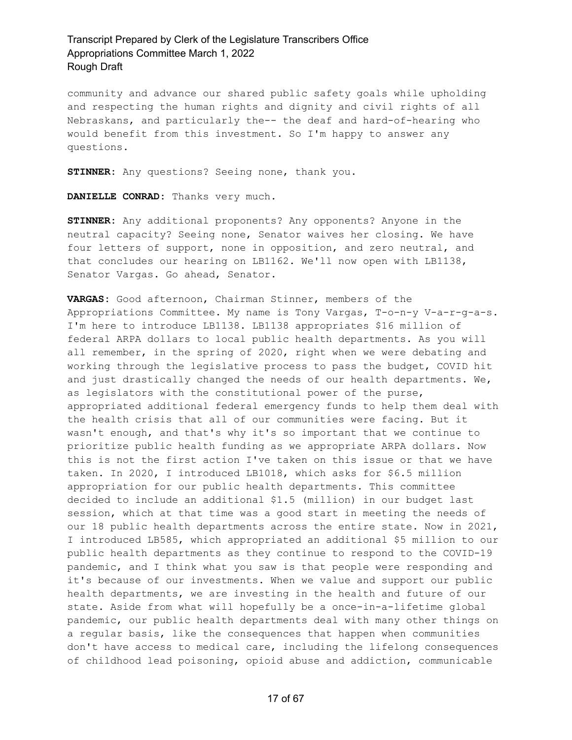community and advance our shared public safety goals while upholding and respecting the human rights and dignity and civil rights of all Nebraskans, and particularly the-- the deaf and hard-of-hearing who would benefit from this investment. So I'm happy to answer any questions.

**STINNER:** Any questions? Seeing none, thank you.

**DANIELLE CONRAD:** Thanks very much.

**STINNER:** Any additional proponents? Any opponents? Anyone in the neutral capacity? Seeing none, Senator waives her closing. We have four letters of support, none in opposition, and zero neutral, and that concludes our hearing on LB1162. We'll now open with LB1138, Senator Vargas. Go ahead, Senator.

**VARGAS:** Good afternoon, Chairman Stinner, members of the Appropriations Committee. My name is Tony Vargas, T-o-n-y V-a-r-g-a-s. I'm here to introduce LB1138. LB1138 appropriates \$16 million of federal ARPA dollars to local public health departments. As you will all remember, in the spring of 2020, right when we were debating and working through the legislative process to pass the budget, COVID hit and just drastically changed the needs of our health departments. We, as legislators with the constitutional power of the purse, appropriated additional federal emergency funds to help them deal with the health crisis that all of our communities were facing. But it wasn't enough, and that's why it's so important that we continue to prioritize public health funding as we appropriate ARPA dollars. Now this is not the first action I've taken on this issue or that we have taken. In 2020, I introduced LB1018, which asks for \$6.5 million appropriation for our public health departments. This committee decided to include an additional \$1.5 (million) in our budget last session, which at that time was a good start in meeting the needs of our 18 public health departments across the entire state. Now in 2021, I introduced LB585, which appropriated an additional \$5 million to our public health departments as they continue to respond to the COVID-19 pandemic, and I think what you saw is that people were responding and it's because of our investments. When we value and support our public health departments, we are investing in the health and future of our state. Aside from what will hopefully be a once-in-a-lifetime global pandemic, our public health departments deal with many other things on a regular basis, like the consequences that happen when communities don't have access to medical care, including the lifelong consequences of childhood lead poisoning, opioid abuse and addiction, communicable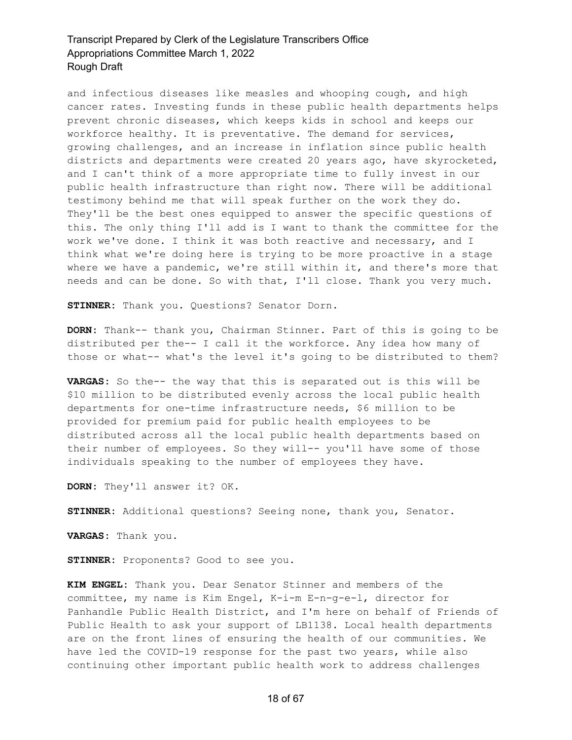and infectious diseases like measles and whooping cough, and high cancer rates. Investing funds in these public health departments helps prevent chronic diseases, which keeps kids in school and keeps our workforce healthy. It is preventative. The demand for services, growing challenges, and an increase in inflation since public health districts and departments were created 20 years ago, have skyrocketed, and I can't think of a more appropriate time to fully invest in our public health infrastructure than right now. There will be additional testimony behind me that will speak further on the work they do. They'll be the best ones equipped to answer the specific questions of this. The only thing I'll add is I want to thank the committee for the work we've done. I think it was both reactive and necessary, and I think what we're doing here is trying to be more proactive in a stage where we have a pandemic, we're still within it, and there's more that needs and can be done. So with that, I'll close. Thank you very much.

**STINNER:** Thank you. Questions? Senator Dorn.

**DORN:** Thank-- thank you, Chairman Stinner. Part of this is going to be distributed per the-- I call it the workforce. Any idea how many of those or what-- what's the level it's going to be distributed to them?

**VARGAS:** So the-- the way that this is separated out is this will be \$10 million to be distributed evenly across the local public health departments for one-time infrastructure needs, \$6 million to be provided for premium paid for public health employees to be distributed across all the local public health departments based on their number of employees. So they will-- you'll have some of those individuals speaking to the number of employees they have.

**DORN:** They'll answer it? OK.

**STINNER:** Additional questions? Seeing none, thank you, Senator.

**VARGAS:** Thank you.

**STINNER:** Proponents? Good to see you.

**KIM ENGEL:** Thank you. Dear Senator Stinner and members of the committee, my name is Kim Engel, K-i-m E-n-g-e-l, director for Panhandle Public Health District, and I'm here on behalf of Friends of Public Health to ask your support of LB1138. Local health departments are on the front lines of ensuring the health of our communities. We have led the COVID-19 response for the past two years, while also continuing other important public health work to address challenges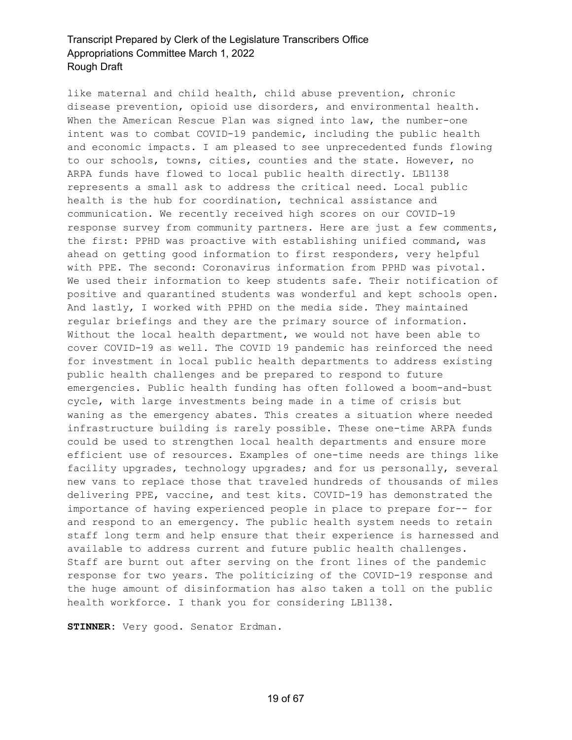like maternal and child health, child abuse prevention, chronic disease prevention, opioid use disorders, and environmental health. When the American Rescue Plan was signed into law, the number-one intent was to combat COVID-19 pandemic, including the public health and economic impacts. I am pleased to see unprecedented funds flowing to our schools, towns, cities, counties and the state. However, no ARPA funds have flowed to local public health directly. LB1138 represents a small ask to address the critical need. Local public health is the hub for coordination, technical assistance and communication. We recently received high scores on our COVID-19 response survey from community partners. Here are just a few comments, the first: PPHD was proactive with establishing unified command, was ahead on getting good information to first responders, very helpful with PPE. The second: Coronavirus information from PPHD was pivotal. We used their information to keep students safe. Their notification of positive and quarantined students was wonderful and kept schools open. And lastly, I worked with PPHD on the media side. They maintained regular briefings and they are the primary source of information. Without the local health department, we would not have been able to cover COVID-19 as well. The COVID 19 pandemic has reinforced the need for investment in local public health departments to address existing public health challenges and be prepared to respond to future emergencies. Public health funding has often followed a boom-and-bust cycle, with large investments being made in a time of crisis but waning as the emergency abates. This creates a situation where needed infrastructure building is rarely possible. These one-time ARPA funds could be used to strengthen local health departments and ensure more efficient use of resources. Examples of one-time needs are things like facility upgrades, technology upgrades; and for us personally, several new vans to replace those that traveled hundreds of thousands of miles delivering PPE, vaccine, and test kits. COVID-19 has demonstrated the importance of having experienced people in place to prepare for-- for and respond to an emergency. The public health system needs to retain staff long term and help ensure that their experience is harnessed and available to address current and future public health challenges. Staff are burnt out after serving on the front lines of the pandemic response for two years. The politicizing of the COVID-19 response and the huge amount of disinformation has also taken a toll on the public health workforce. I thank you for considering LB1138.

**STINNER:** Very good. Senator Erdman.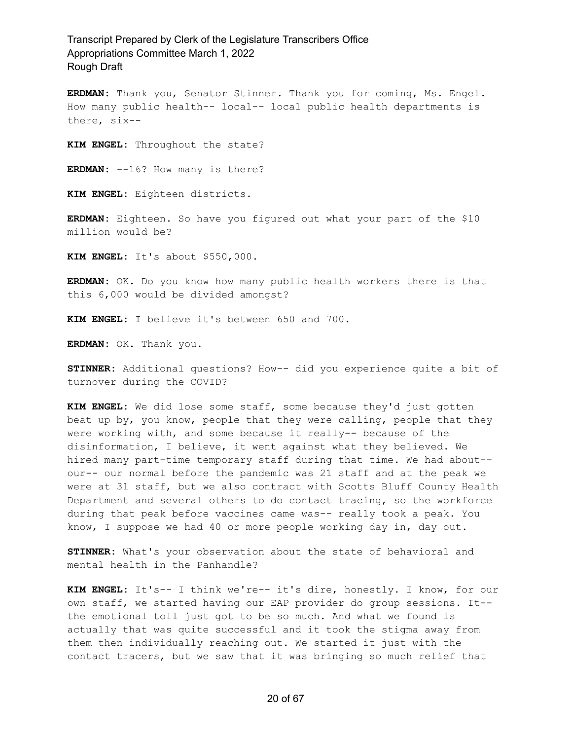**ERDMAN:** Thank you, Senator Stinner. Thank you for coming, Ms. Engel. How many public health-- local-- local public health departments is there, six--

**KIM ENGEL:** Throughout the state?

**ERDMAN:** --16? How many is there?

**KIM ENGEL:** Eighteen districts.

**ERDMAN:** Eighteen. So have you figured out what your part of the \$10 million would be?

**KIM ENGEL:** It's about \$550,000.

**ERDMAN:** OK. Do you know how many public health workers there is that this 6,000 would be divided amongst?

**KIM ENGEL:** I believe it's between 650 and 700.

**ERDMAN:** OK. Thank you.

**STINNER:** Additional questions? How-- did you experience quite a bit of turnover during the COVID?

**KIM ENGEL:** We did lose some staff, some because they'd just gotten beat up by, you know, people that they were calling, people that they were working with, and some because it really-- because of the disinformation, I believe, it went against what they believed. We hired many part-time temporary staff during that time. We had about- our-- our normal before the pandemic was 21 staff and at the peak we were at 31 staff, but we also contract with Scotts Bluff County Health Department and several others to do contact tracing, so the workforce during that peak before vaccines came was-- really took a peak. You know, I suppose we had 40 or more people working day in, day out.

**STINNER:** What's your observation about the state of behavioral and mental health in the Panhandle?

**KIM ENGEL:** It's-- I think we're-- it's dire, honestly. I know, for our own staff, we started having our EAP provider do group sessions. It- the emotional toll just got to be so much. And what we found is actually that was quite successful and it took the stigma away from them then individually reaching out. We started it just with the contact tracers, but we saw that it was bringing so much relief that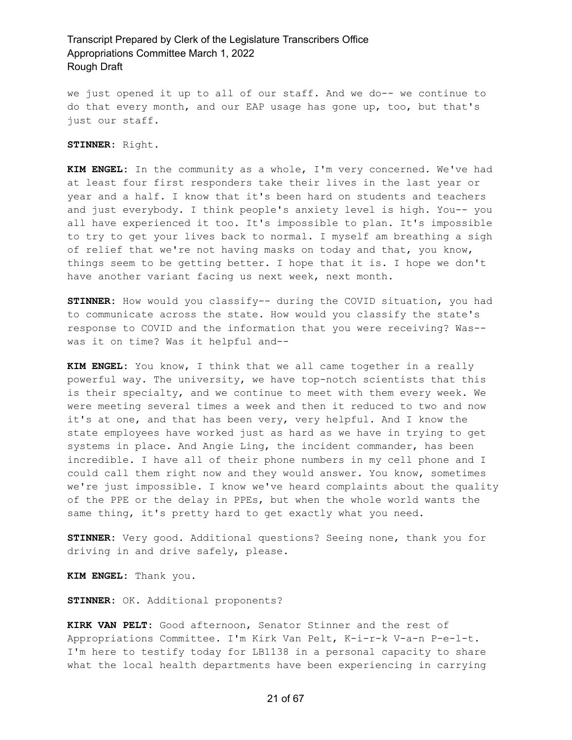we just opened it up to all of our staff. And we do-- we continue to do that every month, and our EAP usage has gone up, too, but that's just our staff.

**STINNER:** Right.

**KIM ENGEL:** In the community as a whole, I'm very concerned. We've had at least four first responders take their lives in the last year or year and a half. I know that it's been hard on students and teachers and just everybody. I think people's anxiety level is high. You-- you all have experienced it too. It's impossible to plan. It's impossible to try to get your lives back to normal. I myself am breathing a sigh of relief that we're not having masks on today and that, you know, things seem to be getting better. I hope that it is. I hope we don't have another variant facing us next week, next month.

**STINNER:** How would you classify-- during the COVID situation, you had to communicate across the state. How would you classify the state's response to COVID and the information that you were receiving? Was- was it on time? Was it helpful and--

**KIM ENGEL:** You know, I think that we all came together in a really powerful way. The university, we have top-notch scientists that this is their specialty, and we continue to meet with them every week. We were meeting several times a week and then it reduced to two and now it's at one, and that has been very, very helpful. And I know the state employees have worked just as hard as we have in trying to get systems in place. And Angie Ling, the incident commander, has been incredible. I have all of their phone numbers in my cell phone and I could call them right now and they would answer. You know, sometimes we're just impossible. I know we've heard complaints about the quality of the PPE or the delay in PPEs, but when the whole world wants the same thing, it's pretty hard to get exactly what you need.

**STINNER:** Very good. Additional questions? Seeing none, thank you for driving in and drive safely, please.

**KIM ENGEL:** Thank you.

**STINNER:** OK. Additional proponents?

**KIRK VAN PELT:** Good afternoon, Senator Stinner and the rest of Appropriations Committee. I'm Kirk Van Pelt, K-i-r-k V-a-n P-e-l-t. I'm here to testify today for LB1138 in a personal capacity to share what the local health departments have been experiencing in carrying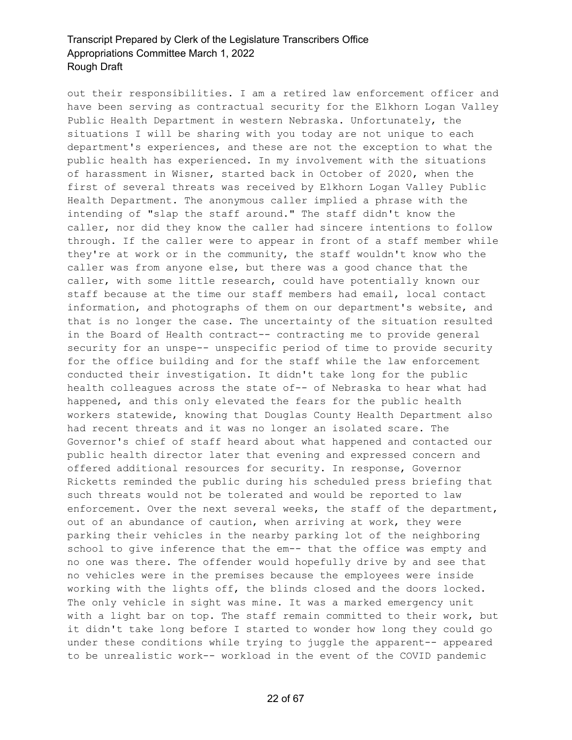out their responsibilities. I am a retired law enforcement officer and have been serving as contractual security for the Elkhorn Logan Valley Public Health Department in western Nebraska. Unfortunately, the situations I will be sharing with you today are not unique to each department's experiences, and these are not the exception to what the public health has experienced. In my involvement with the situations of harassment in Wisner, started back in October of 2020, when the first of several threats was received by Elkhorn Logan Valley Public Health Department. The anonymous caller implied a phrase with the intending of "slap the staff around." The staff didn't know the caller, nor did they know the caller had sincere intentions to follow through. If the caller were to appear in front of a staff member while they're at work or in the community, the staff wouldn't know who the caller was from anyone else, but there was a good chance that the caller, with some little research, could have potentially known our staff because at the time our staff members had email, local contact information, and photographs of them on our department's website, and that is no longer the case. The uncertainty of the situation resulted in the Board of Health contract-- contracting me to provide general security for an unspe-- unspecific period of time to provide security for the office building and for the staff while the law enforcement conducted their investigation. It didn't take long for the public health colleagues across the state of-- of Nebraska to hear what had happened, and this only elevated the fears for the public health workers statewide, knowing that Douglas County Health Department also had recent threats and it was no longer an isolated scare. The Governor's chief of staff heard about what happened and contacted our public health director later that evening and expressed concern and offered additional resources for security. In response, Governor Ricketts reminded the public during his scheduled press briefing that such threats would not be tolerated and would be reported to law enforcement. Over the next several weeks, the staff of the department, out of an abundance of caution, when arriving at work, they were parking their vehicles in the nearby parking lot of the neighboring school to give inference that the em-- that the office was empty and no one was there. The offender would hopefully drive by and see that no vehicles were in the premises because the employees were inside working with the lights off, the blinds closed and the doors locked. The only vehicle in sight was mine. It was a marked emergency unit with a light bar on top. The staff remain committed to their work, but it didn't take long before I started to wonder how long they could go under these conditions while trying to juggle the apparent-- appeared to be unrealistic work-- workload in the event of the COVID pandemic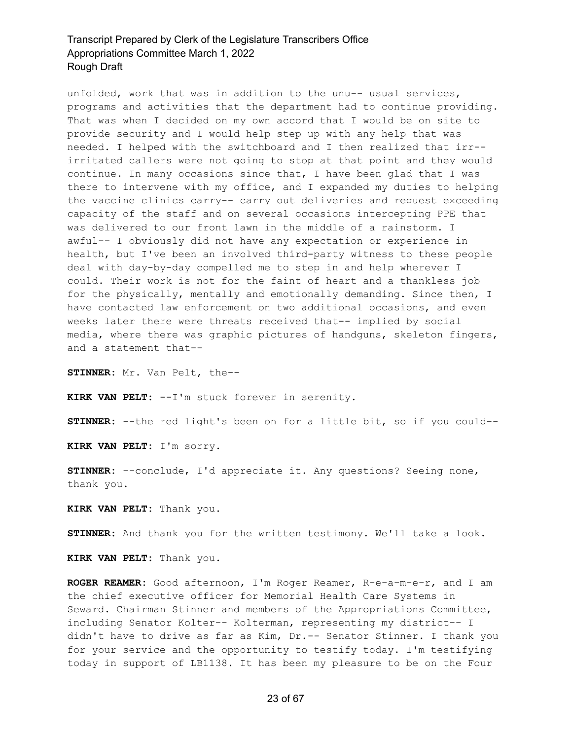unfolded, work that was in addition to the unu-- usual services, programs and activities that the department had to continue providing. That was when I decided on my own accord that I would be on site to provide security and I would help step up with any help that was needed. I helped with the switchboard and I then realized that irr- irritated callers were not going to stop at that point and they would continue. In many occasions since that, I have been glad that I was there to intervene with my office, and I expanded my duties to helping the vaccine clinics carry-- carry out deliveries and request exceeding capacity of the staff and on several occasions intercepting PPE that was delivered to our front lawn in the middle of a rainstorm. I awful-- I obviously did not have any expectation or experience in health, but I've been an involved third-party witness to these people deal with day-by-day compelled me to step in and help wherever I could. Their work is not for the faint of heart and a thankless job for the physically, mentally and emotionally demanding. Since then, I have contacted law enforcement on two additional occasions, and even weeks later there were threats received that-- implied by social media, where there was graphic pictures of handguns, skeleton fingers, and a statement that--

**STINNER:** Mr. Van Pelt, the--

**KIRK VAN PELT:** --I'm stuck forever in serenity.

**STINNER:** --the red light's been on for a little bit, so if you could--

**KIRK VAN PELT:** I'm sorry.

**STINNER:** --conclude, I'd appreciate it. Any questions? Seeing none, thank you.

**KIRK VAN PELT:** Thank you.

**STINNER:** And thank you for the written testimony. We'll take a look.

**KIRK VAN PELT:** Thank you.

**ROGER REAMER:** Good afternoon, I'm Roger Reamer, R-e-a-m-e-r, and I am the chief executive officer for Memorial Health Care Systems in Seward. Chairman Stinner and members of the Appropriations Committee, including Senator Kolter-- Kolterman, representing my district-- I didn't have to drive as far as Kim, Dr.-- Senator Stinner. I thank you for your service and the opportunity to testify today. I'm testifying today in support of LB1138. It has been my pleasure to be on the Four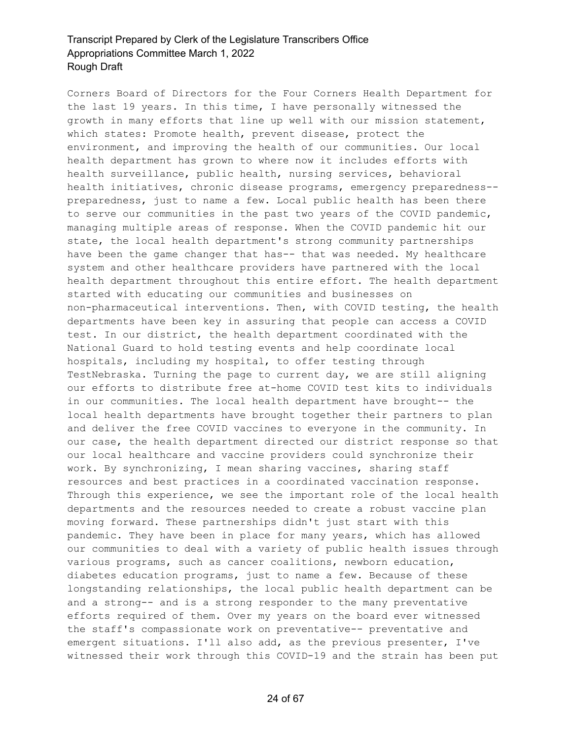Corners Board of Directors for the Four Corners Health Department for the last 19 years. In this time, I have personally witnessed the growth in many efforts that line up well with our mission statement, which states: Promote health, prevent disease, protect the environment, and improving the health of our communities. Our local health department has grown to where now it includes efforts with health surveillance, public health, nursing services, behavioral health initiatives, chronic disease programs, emergency preparedness- preparedness, just to name a few. Local public health has been there to serve our communities in the past two years of the COVID pandemic, managing multiple areas of response. When the COVID pandemic hit our state, the local health department's strong community partnerships have been the game changer that has-- that was needed. My healthcare system and other healthcare providers have partnered with the local health department throughout this entire effort. The health department started with educating our communities and businesses on non-pharmaceutical interventions. Then, with COVID testing, the health departments have been key in assuring that people can access a COVID test. In our district, the health department coordinated with the National Guard to hold testing events and help coordinate local hospitals, including my hospital, to offer testing through TestNebraska. Turning the page to current day, we are still aligning our efforts to distribute free at-home COVID test kits to individuals in our communities. The local health department have brought-- the local health departments have brought together their partners to plan and deliver the free COVID vaccines to everyone in the community. In our case, the health department directed our district response so that our local healthcare and vaccine providers could synchronize their work. By synchronizing, I mean sharing vaccines, sharing staff resources and best practices in a coordinated vaccination response. Through this experience, we see the important role of the local health departments and the resources needed to create a robust vaccine plan moving forward. These partnerships didn't just start with this pandemic. They have been in place for many years, which has allowed our communities to deal with a variety of public health issues through various programs, such as cancer coalitions, newborn education, diabetes education programs, just to name a few. Because of these longstanding relationships, the local public health department can be and a strong-- and is a strong responder to the many preventative efforts required of them. Over my years on the board ever witnessed the staff's compassionate work on preventative-- preventative and emergent situations. I'll also add, as the previous presenter, I've witnessed their work through this COVID-19 and the strain has been put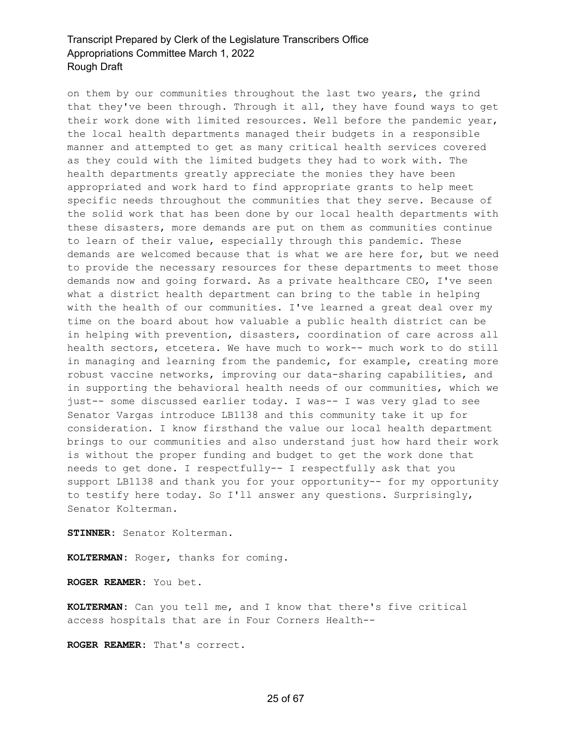on them by our communities throughout the last two years, the grind that they've been through. Through it all, they have found ways to get their work done with limited resources. Well before the pandemic year, the local health departments managed their budgets in a responsible manner and attempted to get as many critical health services covered as they could with the limited budgets they had to work with. The health departments greatly appreciate the monies they have been appropriated and work hard to find appropriate grants to help meet specific needs throughout the communities that they serve. Because of the solid work that has been done by our local health departments with these disasters, more demands are put on them as communities continue to learn of their value, especially through this pandemic. These demands are welcomed because that is what we are here for, but we need to provide the necessary resources for these departments to meet those demands now and going forward. As a private healthcare CEO, I've seen what a district health department can bring to the table in helping with the health of our communities. I've learned a great deal over my time on the board about how valuable a public health district can be in helping with prevention, disasters, coordination of care across all health sectors, etcetera. We have much to work-- much work to do still in managing and learning from the pandemic, for example, creating more robust vaccine networks, improving our data-sharing capabilities, and in supporting the behavioral health needs of our communities, which we just-- some discussed earlier today. I was-- I was very glad to see Senator Vargas introduce LB1138 and this community take it up for consideration. I know firsthand the value our local health department brings to our communities and also understand just how hard their work is without the proper funding and budget to get the work done that needs to get done. I respectfully-- I respectfully ask that you support LB1138 and thank you for your opportunity-- for my opportunity to testify here today. So I'll answer any questions. Surprisingly, Senator Kolterman.

**STINNER:** Senator Kolterman.

**KOLTERMAN:** Roger, thanks for coming.

**ROGER REAMER:** You bet.

**KOLTERMAN:** Can you tell me, and I know that there's five critical access hospitals that are in Four Corners Health--

**ROGER REAMER:** That's correct.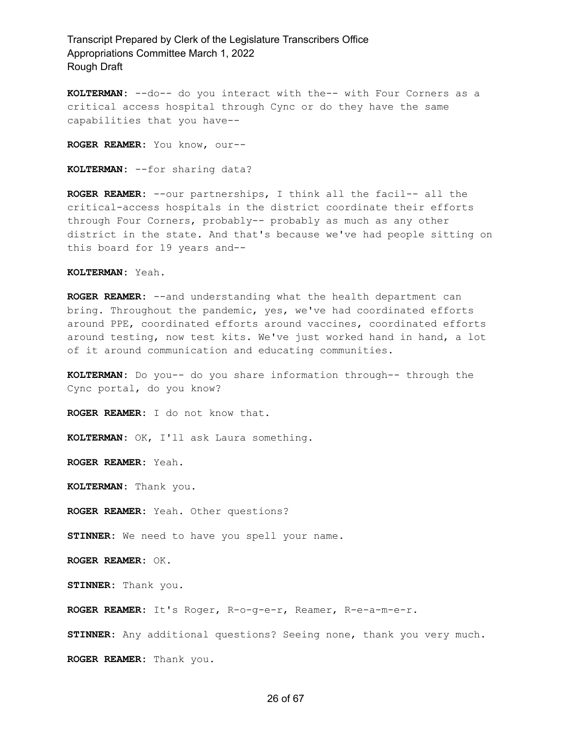**KOLTERMAN:** --do-- do you interact with the-- with Four Corners as a critical access hospital through Cync or do they have the same capabilities that you have--

**ROGER REAMER:** You know, our--

**KOLTERMAN:** --for sharing data?

**ROGER REAMER:** --our partnerships, I think all the facil-- all the critical-access hospitals in the district coordinate their efforts through Four Corners, probably-- probably as much as any other district in the state. And that's because we've had people sitting on this board for 19 years and--

#### **KOLTERMAN:** Yeah.

**ROGER REAMER:** --and understanding what the health department can bring. Throughout the pandemic, yes, we've had coordinated efforts around PPE, coordinated efforts around vaccines, coordinated efforts around testing, now test kits. We've just worked hand in hand, a lot of it around communication and educating communities.

**KOLTERMAN:** Do you-- do you share information through-- through the Cync portal, do you know?

**ROGER REAMER:** I do not know that.

**KOLTERMAN:** OK, I'll ask Laura something.

**ROGER REAMER:** Yeah.

**KOLTERMAN:** Thank you.

**ROGER REAMER:** Yeah. Other questions?

**STINNER:** We need to have you spell your name.

**ROGER REAMER:** OK.

**STINNER:** Thank you.

**ROGER REAMER:** It's Roger, R-o-g-e-r, Reamer, R-e-a-m-e-r.

**STINNER:** Any additional questions? Seeing none, thank you very much. **ROGER REAMER:** Thank you.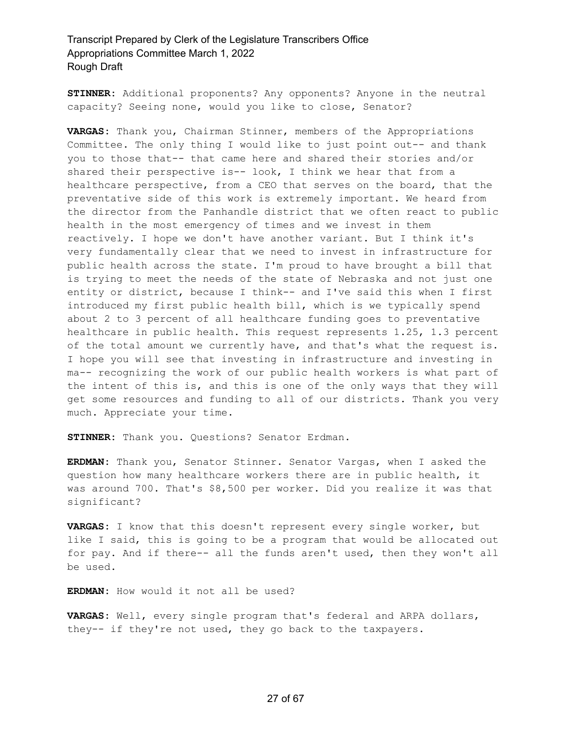**STINNER:** Additional proponents? Any opponents? Anyone in the neutral capacity? Seeing none, would you like to close, Senator?

**VARGAS:** Thank you, Chairman Stinner, members of the Appropriations Committee. The only thing I would like to just point out-- and thank you to those that-- that came here and shared their stories and/or shared their perspective is-- look, I think we hear that from a healthcare perspective, from a CEO that serves on the board, that the preventative side of this work is extremely important. We heard from the director from the Panhandle district that we often react to public health in the most emergency of times and we invest in them reactively. I hope we don't have another variant. But I think it's very fundamentally clear that we need to invest in infrastructure for public health across the state. I'm proud to have brought a bill that is trying to meet the needs of the state of Nebraska and not just one entity or district, because I think-- and I've said this when I first introduced my first public health bill, which is we typically spend about 2 to 3 percent of all healthcare funding goes to preventative healthcare in public health. This request represents 1.25, 1.3 percent of the total amount we currently have, and that's what the request is. I hope you will see that investing in infrastructure and investing in ma-- recognizing the work of our public health workers is what part of the intent of this is, and this is one of the only ways that they will get some resources and funding to all of our districts. Thank you very much. Appreciate your time.

**STINNER:** Thank you. Questions? Senator Erdman.

**ERDMAN:** Thank you, Senator Stinner. Senator Vargas, when I asked the question how many healthcare workers there are in public health, it was around 700. That's \$8,500 per worker. Did you realize it was that significant?

**VARGAS:** I know that this doesn't represent every single worker, but like I said, this is going to be a program that would be allocated out for pay. And if there-- all the funds aren't used, then they won't all be used.

**ERDMAN:** How would it not all be used?

**VARGAS:** Well, every single program that's federal and ARPA dollars, they-- if they're not used, they go back to the taxpayers.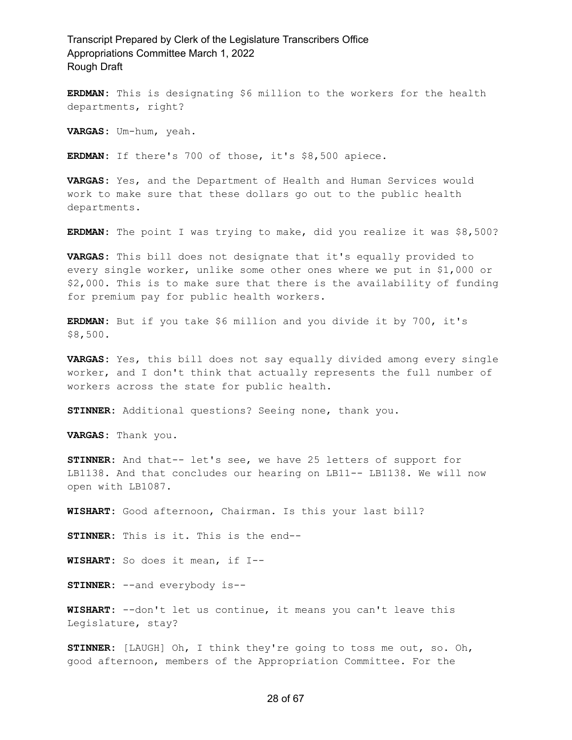**ERDMAN:** This is designating \$6 million to the workers for the health departments, right?

**VARGAS:** Um-hum, yeah.

**ERDMAN:** If there's 700 of those, it's \$8,500 apiece.

**VARGAS:** Yes, and the Department of Health and Human Services would work to make sure that these dollars go out to the public health departments.

**ERDMAN:** The point I was trying to make, did you realize it was \$8,500?

**VARGAS:** This bill does not designate that it's equally provided to every single worker, unlike some other ones where we put in \$1,000 or \$2,000. This is to make sure that there is the availability of funding for premium pay for public health workers.

**ERDMAN:** But if you take \$6 million and you divide it by 700, it's \$8,500.

**VARGAS:** Yes, this bill does not say equally divided among every single worker, and I don't think that actually represents the full number of workers across the state for public health.

**STINNER:** Additional questions? Seeing none, thank you.

**VARGAS:** Thank you.

**STINNER:** And that-- let's see, we have 25 letters of support for LB1138. And that concludes our hearing on LB11-- LB1138. We will now open with LB1087.

**WISHART:** Good afternoon, Chairman. Is this your last bill?

**STINNER:** This is it. This is the end--

**WISHART:** So does it mean, if I--

**STINNER:** --and everybody is--

**WISHART:** --don't let us continue, it means you can't leave this Legislature, stay?

**STINNER:** [LAUGH] Oh, I think they're going to toss me out, so. Oh, good afternoon, members of the Appropriation Committee. For the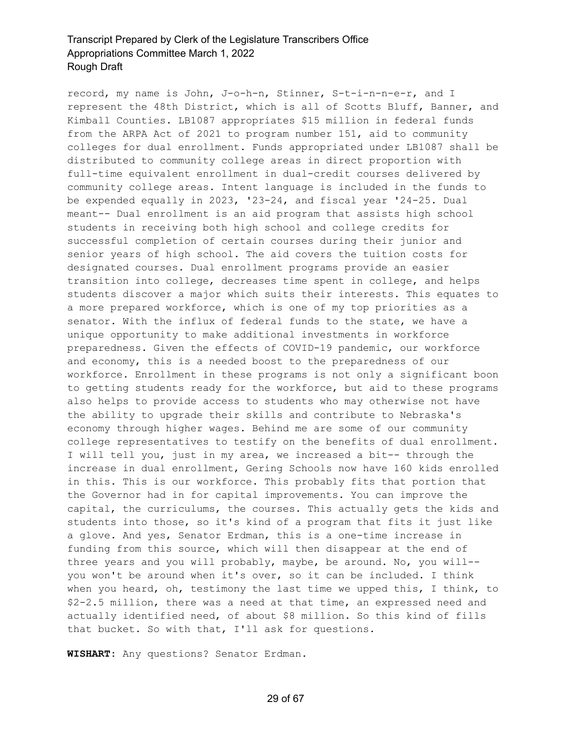record, my name is John, J-o-h-n, Stinner, S-t-i-n-n-e-r, and I represent the 48th District, which is all of Scotts Bluff, Banner, and Kimball Counties. LB1087 appropriates \$15 million in federal funds from the ARPA Act of 2021 to program number 151, aid to community colleges for dual enrollment. Funds appropriated under LB1087 shall be distributed to community college areas in direct proportion with full-time equivalent enrollment in dual-credit courses delivered by community college areas. Intent language is included in the funds to be expended equally in 2023, '23-24, and fiscal year '24-25. Dual meant-- Dual enrollment is an aid program that assists high school students in receiving both high school and college credits for successful completion of certain courses during their junior and senior years of high school. The aid covers the tuition costs for designated courses. Dual enrollment programs provide an easier transition into college, decreases time spent in college, and helps students discover a major which suits their interests. This equates to a more prepared workforce, which is one of my top priorities as a senator. With the influx of federal funds to the state, we have a unique opportunity to make additional investments in workforce preparedness. Given the effects of COVID-19 pandemic, our workforce and economy, this is a needed boost to the preparedness of our workforce. Enrollment in these programs is not only a significant boon to getting students ready for the workforce, but aid to these programs also helps to provide access to students who may otherwise not have the ability to upgrade their skills and contribute to Nebraska's economy through higher wages. Behind me are some of our community college representatives to testify on the benefits of dual enrollment. I will tell you, just in my area, we increased a bit-- through the increase in dual enrollment, Gering Schools now have 160 kids enrolled in this. This is our workforce. This probably fits that portion that the Governor had in for capital improvements. You can improve the capital, the curriculums, the courses. This actually gets the kids and students into those, so it's kind of a program that fits it just like a glove. And yes, Senator Erdman, this is a one-time increase in funding from this source, which will then disappear at the end of three years and you will probably, maybe, be around. No, you will- you won't be around when it's over, so it can be included. I think when you heard, oh, testimony the last time we upped this, I think, to \$2-2.5 million, there was a need at that time, an expressed need and actually identified need, of about \$8 million. So this kind of fills that bucket. So with that, I'll ask for questions.

**WISHART:** Any questions? Senator Erdman.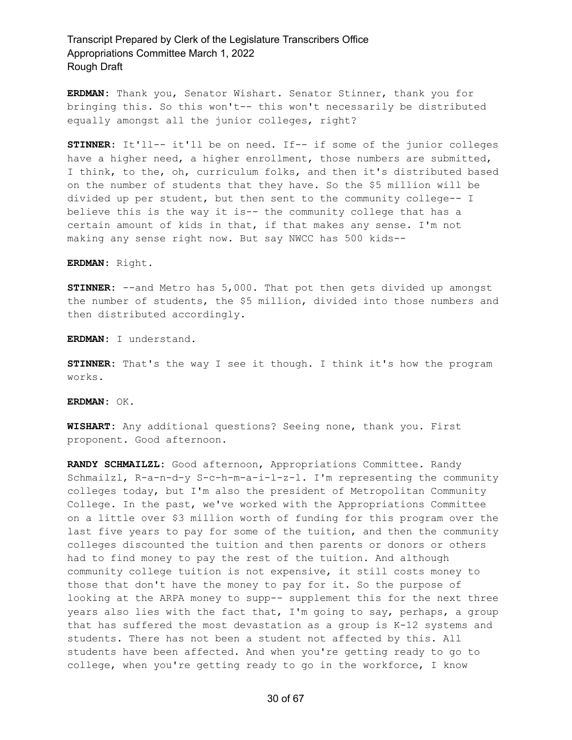**ERDMAN:** Thank you, Senator Wishart. Senator Stinner, thank you for bringing this. So this won't-- this won't necessarily be distributed equally amongst all the junior colleges, right?

**STINNER:** It'll-- it'll be on need. If-- if some of the junior colleges have a higher need, a higher enrollment, those numbers are submitted, I think, to the, oh, curriculum folks, and then it's distributed based on the number of students that they have. So the \$5 million will be divided up per student, but then sent to the community college-- I believe this is the way it is-- the community college that has a certain amount of kids in that, if that makes any sense. I'm not making any sense right now. But say NWCC has 500 kids--

**ERDMAN:** Right.

**STINNER:** --and Metro has 5,000. That pot then gets divided up amongst the number of students, the \$5 million, divided into those numbers and then distributed accordingly.

**ERDMAN:** I understand.

**STINNER:** That's the way I see it though. I think it's how the program works.

**ERDMAN:** OK.

**WISHART:** Any additional questions? Seeing none, thank you. First proponent. Good afternoon.

**RANDY SCHMAILZL:** Good afternoon, Appropriations Committee. Randy Schmailzl, R-a-n-d-y S-c-h-m-a-i-l-z-l. I'm representing the community colleges today, but I'm also the president of Metropolitan Community College. In the past, we've worked with the Appropriations Committee on a little over \$3 million worth of funding for this program over the last five years to pay for some of the tuition, and then the community colleges discounted the tuition and then parents or donors or others had to find money to pay the rest of the tuition. And although community college tuition is not expensive, it still costs money to those that don't have the money to pay for it. So the purpose of looking at the ARPA money to supp-- supplement this for the next three years also lies with the fact that, I'm going to say, perhaps, a group that has suffered the most devastation as a group is K-12 systems and students. There has not been a student not affected by this. All students have been affected. And when you're getting ready to go to college, when you're getting ready to go in the workforce, I know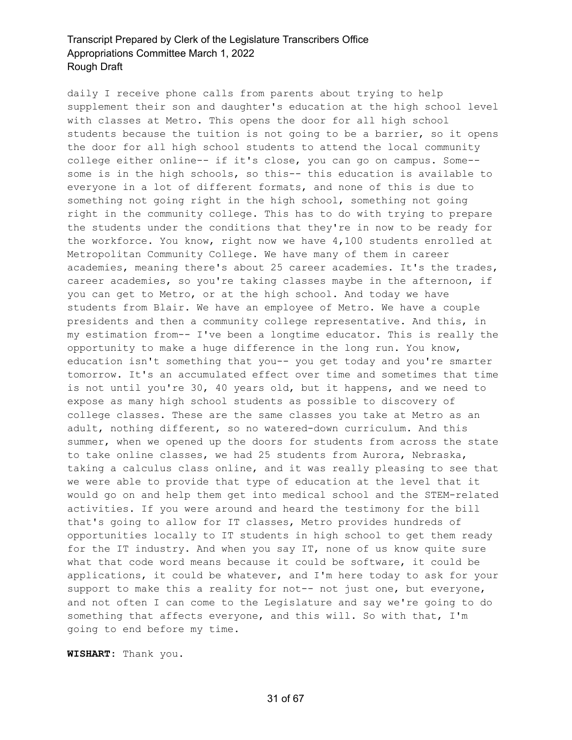daily I receive phone calls from parents about trying to help supplement their son and daughter's education at the high school level with classes at Metro. This opens the door for all high school students because the tuition is not going to be a barrier, so it opens the door for all high school students to attend the local community college either online-- if it's close, you can go on campus. Some- some is in the high schools, so this-- this education is available to everyone in a lot of different formats, and none of this is due to something not going right in the high school, something not going right in the community college. This has to do with trying to prepare the students under the conditions that they're in now to be ready for the workforce. You know, right now we have 4,100 students enrolled at Metropolitan Community College. We have many of them in career academies, meaning there's about 25 career academies. It's the trades, career academies, so you're taking classes maybe in the afternoon, if you can get to Metro, or at the high school. And today we have students from Blair. We have an employee of Metro. We have a couple presidents and then a community college representative. And this, in my estimation from-- I've been a longtime educator. This is really the opportunity to make a huge difference in the long run. You know, education isn't something that you-- you get today and you're smarter tomorrow. It's an accumulated effect over time and sometimes that time is not until you're 30, 40 years old, but it happens, and we need to expose as many high school students as possible to discovery of college classes. These are the same classes you take at Metro as an adult, nothing different, so no watered-down curriculum. And this summer, when we opened up the doors for students from across the state to take online classes, we had 25 students from Aurora, Nebraska, taking a calculus class online, and it was really pleasing to see that we were able to provide that type of education at the level that it would go on and help them get into medical school and the STEM-related activities. If you were around and heard the testimony for the bill that's going to allow for IT classes, Metro provides hundreds of opportunities locally to IT students in high school to get them ready for the IT industry. And when you say IT, none of us know quite sure what that code word means because it could be software, it could be applications, it could be whatever, and I'm here today to ask for your support to make this a reality for not-- not just one, but everyone, and not often I can come to the Legislature and say we're going to do something that affects everyone, and this will. So with that, I'm going to end before my time.

**WISHART:** Thank you.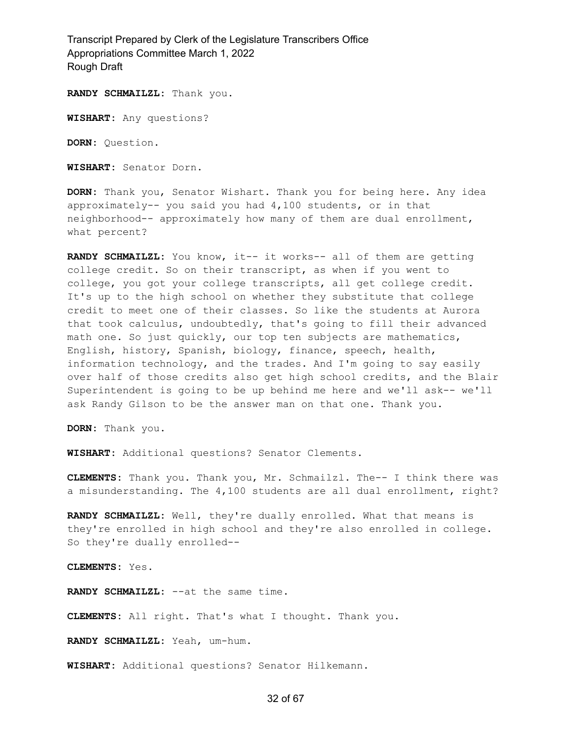**RANDY SCHMAILZL:** Thank you.

**WISHART:** Any questions?

**DORN:** Question.

**WISHART:** Senator Dorn.

**DORN:** Thank you, Senator Wishart. Thank you for being here. Any idea approximately-- you said you had 4,100 students, or in that neighborhood-- approximately how many of them are dual enrollment, what percent?

**RANDY SCHMAILZL:** You know, it-- it works-- all of them are getting college credit. So on their transcript, as when if you went to college, you got your college transcripts, all get college credit. It's up to the high school on whether they substitute that college credit to meet one of their classes. So like the students at Aurora that took calculus, undoubtedly, that's going to fill their advanced math one. So just quickly, our top ten subjects are mathematics, English, history, Spanish, biology, finance, speech, health, information technology, and the trades. And I'm going to say easily over half of those credits also get high school credits, and the Blair Superintendent is going to be up behind me here and we'll ask-- we'll ask Randy Gilson to be the answer man on that one. Thank you.

**DORN:** Thank you.

**WISHART:** Additional questions? Senator Clements.

**CLEMENTS:** Thank you. Thank you, Mr. Schmailzl. The-- I think there was a misunderstanding. The 4,100 students are all dual enrollment, right?

**RANDY SCHMAILZL:** Well, they're dually enrolled. What that means is they're enrolled in high school and they're also enrolled in college. So they're dually enrolled--

**CLEMENTS:** Yes.

**RANDY SCHMAILZL:** --at the same time.

**CLEMENTS:** All right. That's what I thought. Thank you.

**RANDY SCHMAILZL:** Yeah, um-hum.

**WISHART:** Additional questions? Senator Hilkemann.

#### 32 of 67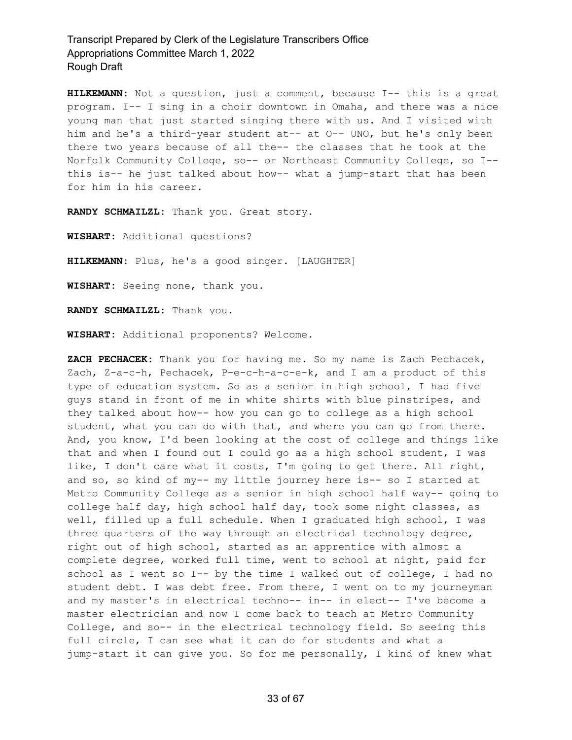**HILKEMANN:** Not a question, just a comment, because I-- this is a great program. I-- I sing in a choir downtown in Omaha, and there was a nice young man that just started singing there with us. And I visited with him and he's a third-year student at-- at O-- UNO, but he's only been there two years because of all the-- the classes that he took at the Norfolk Community College, so-- or Northeast Community College, so I- this is-- he just talked about how-- what a jump-start that has been for him in his career.

**RANDY SCHMAILZL:** Thank you. Great story.

**WISHART:** Additional questions?

**HILKEMANN:** Plus, he's a good singer. [LAUGHTER]

**WISHART:** Seeing none, thank you.

**RANDY SCHMAILZL:** Thank you.

**WISHART:** Additional proponents? Welcome.

**ZACH PECHACEK:** Thank you for having me. So my name is Zach Pechacek, Zach, Z-a-c-h, Pechacek, P-e-c-h-a-c-e-k, and I am a product of this type of education system. So as a senior in high school, I had five guys stand in front of me in white shirts with blue pinstripes, and they talked about how-- how you can go to college as a high school student, what you can do with that, and where you can go from there. And, you know, I'd been looking at the cost of college and things like that and when I found out I could go as a high school student, I was like, I don't care what it costs, I'm going to get there. All right, and so, so kind of my-- my little journey here is-- so I started at Metro Community College as a senior in high school half way-- going to college half day, high school half day, took some night classes, as well, filled up a full schedule. When I graduated high school, I was three quarters of the way through an electrical technology degree, right out of high school, started as an apprentice with almost a complete degree, worked full time, went to school at night, paid for school as I went so I-- by the time I walked out of college, I had no student debt. I was debt free. From there, I went on to my journeyman and my master's in electrical techno-- in-- in elect-- I've become a master electrician and now I come back to teach at Metro Community College, and so-- in the electrical technology field. So seeing this full circle, I can see what it can do for students and what a jump-start it can give you. So for me personally, I kind of knew what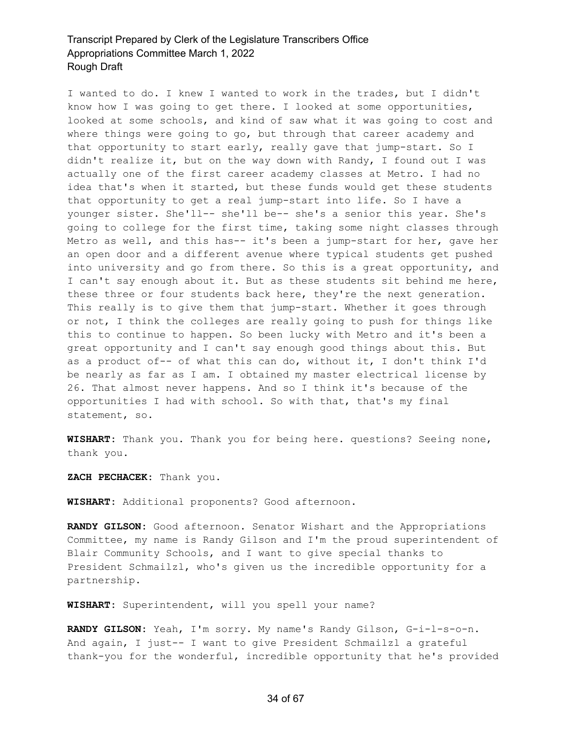I wanted to do. I knew I wanted to work in the trades, but I didn't know how I was going to get there. I looked at some opportunities, looked at some schools, and kind of saw what it was going to cost and where things were going to go, but through that career academy and that opportunity to start early, really gave that jump-start. So I didn't realize it, but on the way down with Randy, I found out I was actually one of the first career academy classes at Metro. I had no idea that's when it started, but these funds would get these students that opportunity to get a real jump-start into life. So I have a younger sister. She'll-- she'll be-- she's a senior this year. She's going to college for the first time, taking some night classes through Metro as well, and this has-- it's been a jump-start for her, gave her an open door and a different avenue where typical students get pushed into university and go from there. So this is a great opportunity, and I can't say enough about it. But as these students sit behind me here, these three or four students back here, they're the next generation. This really is to give them that jump-start. Whether it goes through or not, I think the colleges are really going to push for things like this to continue to happen. So been lucky with Metro and it's been a great opportunity and I can't say enough good things about this. But as a product of-- of what this can do, without it, I don't think I'd be nearly as far as I am. I obtained my master electrical license by 26. That almost never happens. And so I think it's because of the opportunities I had with school. So with that, that's my final statement, so.

**WISHART:** Thank you. Thank you for being here. questions? Seeing none, thank you.

**ZACH PECHACEK:** Thank you.

**WISHART:** Additional proponents? Good afternoon.

**RANDY GILSON:** Good afternoon. Senator Wishart and the Appropriations Committee, my name is Randy Gilson and I'm the proud superintendent of Blair Community Schools, and I want to give special thanks to President Schmailzl, who's given us the incredible opportunity for a partnership.

**WISHART:** Superintendent, will you spell your name?

**RANDY GILSON:** Yeah, I'm sorry. My name's Randy Gilson, G-i-l-s-o-n. And again, I just-- I want to give President Schmailzl a grateful thank-you for the wonderful, incredible opportunity that he's provided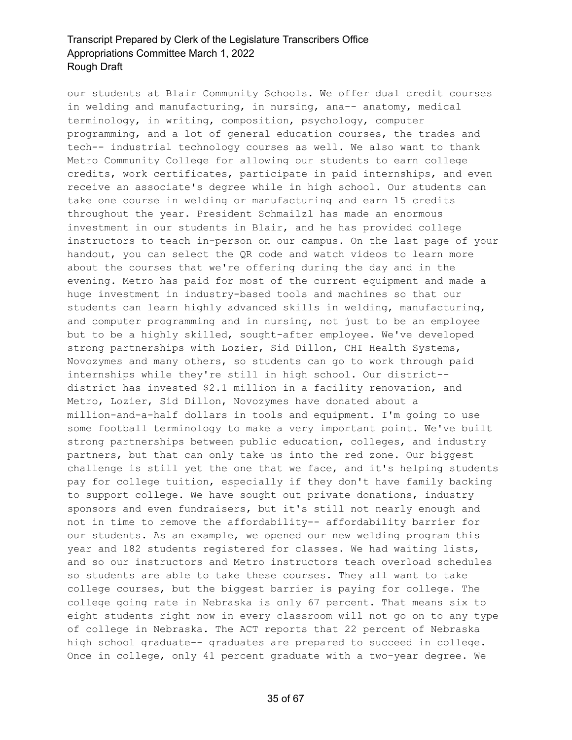our students at Blair Community Schools. We offer dual credit courses in welding and manufacturing, in nursing, ana-- anatomy, medical terminology, in writing, composition, psychology, computer programming, and a lot of general education courses, the trades and tech-- industrial technology courses as well. We also want to thank Metro Community College for allowing our students to earn college credits, work certificates, participate in paid internships, and even receive an associate's degree while in high school. Our students can take one course in welding or manufacturing and earn 15 credits throughout the year. President Schmailzl has made an enormous investment in our students in Blair, and he has provided college instructors to teach in-person on our campus. On the last page of your handout, you can select the QR code and watch videos to learn more about the courses that we're offering during the day and in the evening. Metro has paid for most of the current equipment and made a huge investment in industry-based tools and machines so that our students can learn highly advanced skills in welding, manufacturing, and computer programming and in nursing, not just to be an employee but to be a highly skilled, sought-after employee. We've developed strong partnerships with Lozier, Sid Dillon, CHI Health Systems, Novozymes and many others, so students can go to work through paid internships while they're still in high school. Our district- district has invested \$2.1 million in a facility renovation, and Metro, Lozier, Sid Dillon, Novozymes have donated about a million-and-a-half dollars in tools and equipment. I'm going to use some football terminology to make a very important point. We've built strong partnerships between public education, colleges, and industry partners, but that can only take us into the red zone. Our biggest challenge is still yet the one that we face, and it's helping students pay for college tuition, especially if they don't have family backing to support college. We have sought out private donations, industry sponsors and even fundraisers, but it's still not nearly enough and not in time to remove the affordability-- affordability barrier for our students. As an example, we opened our new welding program this year and 182 students registered for classes. We had waiting lists, and so our instructors and Metro instructors teach overload schedules so students are able to take these courses. They all want to take college courses, but the biggest barrier is paying for college. The college going rate in Nebraska is only 67 percent. That means six to eight students right now in every classroom will not go on to any type of college in Nebraska. The ACT reports that 22 percent of Nebraska high school graduate-- graduates are prepared to succeed in college. Once in college, only 41 percent graduate with a two-year degree. We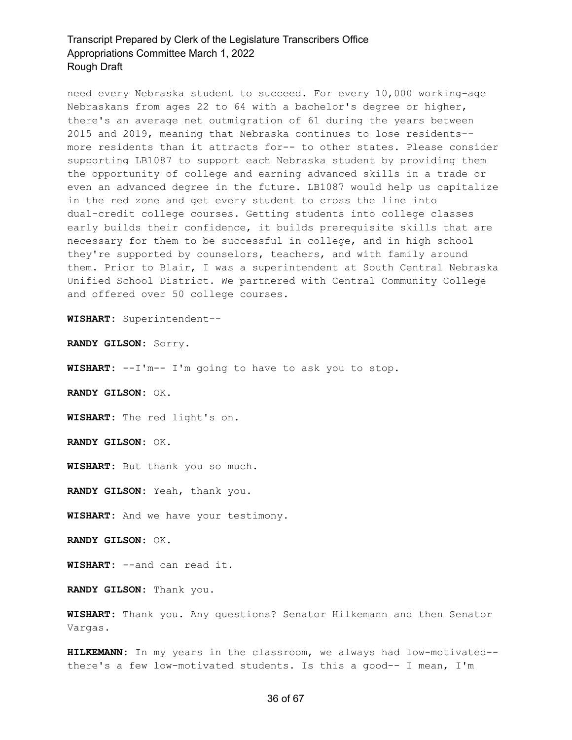need every Nebraska student to succeed. For every 10,000 working-age Nebraskans from ages 22 to 64 with a bachelor's degree or higher, there's an average net outmigration of 61 during the years between 2015 and 2019, meaning that Nebraska continues to lose residents- more residents than it attracts for-- to other states. Please consider supporting LB1087 to support each Nebraska student by providing them the opportunity of college and earning advanced skills in a trade or even an advanced degree in the future. LB1087 would help us capitalize in the red zone and get every student to cross the line into dual-credit college courses. Getting students into college classes early builds their confidence, it builds prerequisite skills that are necessary for them to be successful in college, and in high school they're supported by counselors, teachers, and with family around them. Prior to Blair, I was a superintendent at South Central Nebraska Unified School District. We partnered with Central Community College and offered over 50 college courses.

**WISHART:** Superintendent--

**RANDY GILSON:** Sorry.

**WISHART:** --I'm-- I'm going to have to ask you to stop.

**RANDY GILSON:** OK.

**WISHART:** The red light's on.

**RANDY GILSON:** OK.

**WISHART:** But thank you so much.

**RANDY GILSON:** Yeah, thank you.

**WISHART:** And we have your testimony.

**RANDY GILSON:** OK.

**WISHART:** --and can read it.

**RANDY GILSON:** Thank you.

**WISHART:** Thank you. Any questions? Senator Hilkemann and then Senator Vargas.

**HILKEMANN:** In my years in the classroom, we always had low-motivated- there's a few low-motivated students. Is this a good-- I mean, I'm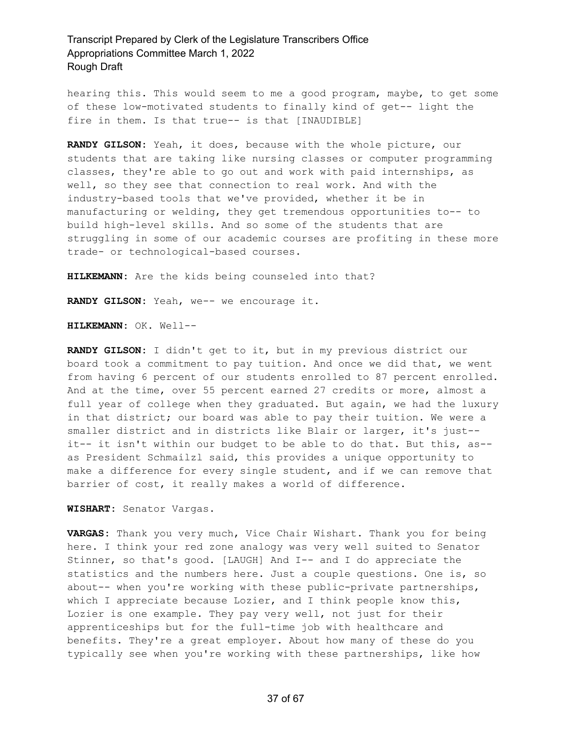hearing this. This would seem to me a good program, maybe, to get some of these low-motivated students to finally kind of get-- light the fire in them. Is that true-- is that [INAUDIBLE]

**RANDY GILSON:** Yeah, it does, because with the whole picture, our students that are taking like nursing classes or computer programming classes, they're able to go out and work with paid internships, as well, so they see that connection to real work. And with the industry-based tools that we've provided, whether it be in manufacturing or welding, they get tremendous opportunities to-- to build high-level skills. And so some of the students that are struggling in some of our academic courses are profiting in these more trade- or technological-based courses.

**HILKEMANN:** Are the kids being counseled into that?

**RANDY GILSON:** Yeah, we-- we encourage it.

**HILKEMANN:** OK. Well--

**RANDY GILSON:** I didn't get to it, but in my previous district our board took a commitment to pay tuition. And once we did that, we went from having 6 percent of our students enrolled to 87 percent enrolled. And at the time, over 55 percent earned 27 credits or more, almost a full year of college when they graduated. But again, we had the luxury in that district; our board was able to pay their tuition. We were a smaller district and in districts like Blair or larger, it's just- it-- it isn't within our budget to be able to do that. But this, as- as President Schmailzl said, this provides a unique opportunity to make a difference for every single student, and if we can remove that barrier of cost, it really makes a world of difference.

**WISHART:** Senator Vargas.

**VARGAS:** Thank you very much, Vice Chair Wishart. Thank you for being here. I think your red zone analogy was very well suited to Senator Stinner, so that's good. [LAUGH] And I-- and I do appreciate the statistics and the numbers here. Just a couple questions. One is, so about-- when you're working with these public-private partnerships, which I appreciate because Lozier, and I think people know this, Lozier is one example. They pay very well, not just for their apprenticeships but for the full-time job with healthcare and benefits. They're a great employer. About how many of these do you typically see when you're working with these partnerships, like how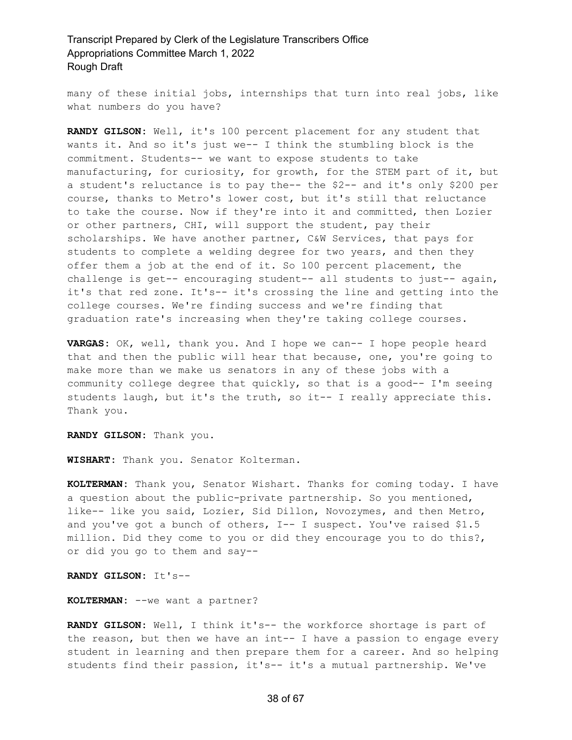many of these initial jobs, internships that turn into real jobs, like what numbers do you have?

**RANDY GILSON:** Well, it's 100 percent placement for any student that wants it. And so it's just we-- I think the stumbling block is the commitment. Students-- we want to expose students to take manufacturing, for curiosity, for growth, for the STEM part of it, but a student's reluctance is to pay the-- the \$2-- and it's only \$200 per course, thanks to Metro's lower cost, but it's still that reluctance to take the course. Now if they're into it and committed, then Lozier or other partners, CHI, will support the student, pay their scholarships. We have another partner, C&W Services, that pays for students to complete a welding degree for two years, and then they offer them a job at the end of it. So 100 percent placement, the challenge is get-- encouraging student-- all students to just-- again, it's that red zone. It's-- it's crossing the line and getting into the college courses. We're finding success and we're finding that graduation rate's increasing when they're taking college courses.

**VARGAS:** OK, well, thank you. And I hope we can-- I hope people heard that and then the public will hear that because, one, you're going to make more than we make us senators in any of these jobs with a community college degree that quickly, so that is a good-- I'm seeing students laugh, but it's the truth, so it-- I really appreciate this. Thank you.

**RANDY GILSON:** Thank you.

**WISHART:** Thank you. Senator Kolterman.

**KOLTERMAN:** Thank you, Senator Wishart. Thanks for coming today. I have a question about the public-private partnership. So you mentioned, like-- like you said, Lozier, Sid Dillon, Novozymes, and then Metro, and you've got a bunch of others, I-- I suspect. You've raised \$1.5 million. Did they come to you or did they encourage you to do this?, or did you go to them and say--

**RANDY GILSON:** It's--

**KOLTERMAN:** --we want a partner?

**RANDY GILSON:** Well, I think it's-- the workforce shortage is part of the reason, but then we have an int-- I have a passion to engage every student in learning and then prepare them for a career. And so helping students find their passion, it's-- it's a mutual partnership. We've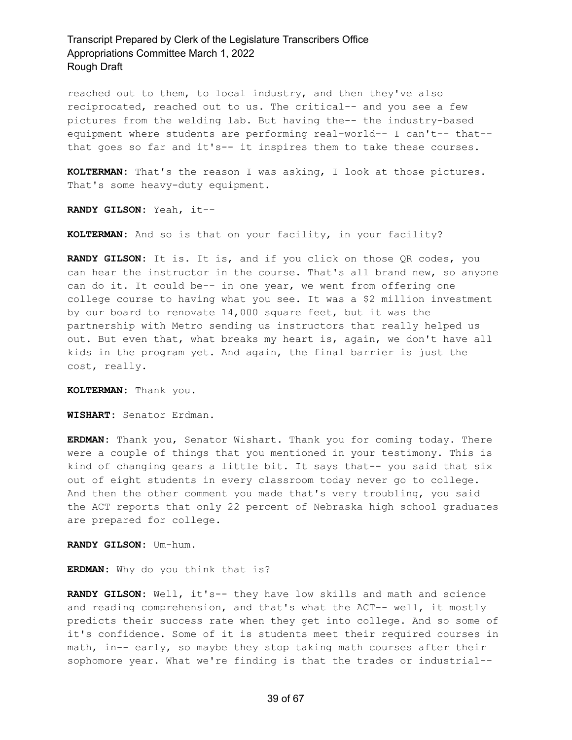reached out to them, to local industry, and then they've also reciprocated, reached out to us. The critical-- and you see a few pictures from the welding lab. But having the-- the industry-based equipment where students are performing real-world-- I can't-- that- that goes so far and it's-- it inspires them to take these courses.

**KOLTERMAN:** That's the reason I was asking, I look at those pictures. That's some heavy-duty equipment.

**RANDY GILSON:** Yeah, it--

**KOLTERMAN:** And so is that on your facility, in your facility?

**RANDY GILSON:** It is. It is, and if you click on those QR codes, you can hear the instructor in the course. That's all brand new, so anyone can do it. It could be-- in one year, we went from offering one college course to having what you see. It was a \$2 million investment by our board to renovate 14,000 square feet, but it was the partnership with Metro sending us instructors that really helped us out. But even that, what breaks my heart is, again, we don't have all kids in the program yet. And again, the final barrier is just the cost, really.

**KOLTERMAN:** Thank you.

**WISHART:** Senator Erdman.

**ERDMAN:** Thank you, Senator Wishart. Thank you for coming today. There were a couple of things that you mentioned in your testimony. This is kind of changing gears a little bit. It says that-- you said that six out of eight students in every classroom today never go to college. And then the other comment you made that's very troubling, you said the ACT reports that only 22 percent of Nebraska high school graduates are prepared for college.

**RANDY GILSON:** Um-hum.

**ERDMAN:** Why do you think that is?

**RANDY GILSON:** Well, it's-- they have low skills and math and science and reading comprehension, and that's what the ACT-- well, it mostly predicts their success rate when they get into college. And so some of it's confidence. Some of it is students meet their required courses in math, in-- early, so maybe they stop taking math courses after their sophomore year. What we're finding is that the trades or industrial--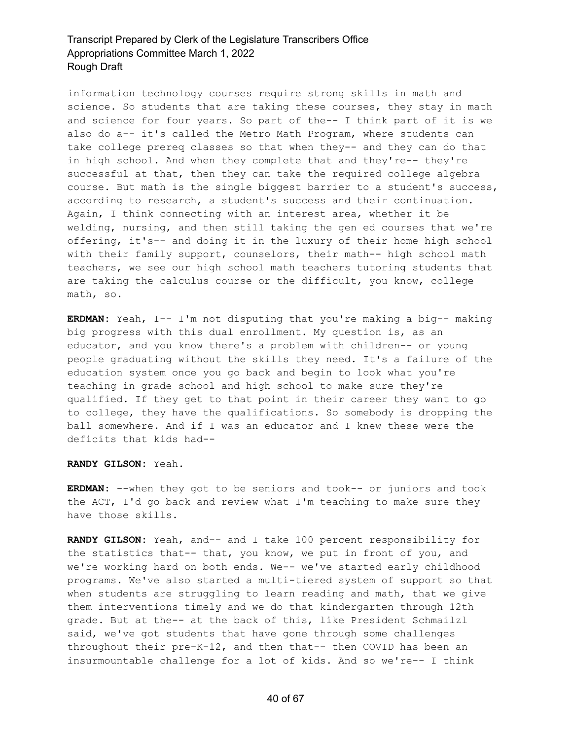information technology courses require strong skills in math and science. So students that are taking these courses, they stay in math and science for four years. So part of the-- I think part of it is we also do a-- it's called the Metro Math Program, where students can take college prereq classes so that when they-- and they can do that in high school. And when they complete that and they're-- they're successful at that, then they can take the required college algebra course. But math is the single biggest barrier to a student's success, according to research, a student's success and their continuation. Again, I think connecting with an interest area, whether it be welding, nursing, and then still taking the gen ed courses that we're offering, it's-- and doing it in the luxury of their home high school with their family support, counselors, their math-- high school math teachers, we see our high school math teachers tutoring students that are taking the calculus course or the difficult, you know, college math, so.

**ERDMAN:** Yeah, I-- I'm not disputing that you're making a big-- making big progress with this dual enrollment. My question is, as an educator, and you know there's a problem with children-- or young people graduating without the skills they need. It's a failure of the education system once you go back and begin to look what you're teaching in grade school and high school to make sure they're qualified. If they get to that point in their career they want to go to college, they have the qualifications. So somebody is dropping the ball somewhere. And if I was an educator and I knew these were the deficits that kids had--

**RANDY GILSON:** Yeah.

**ERDMAN:** --when they got to be seniors and took-- or juniors and took the ACT, I'd go back and review what I'm teaching to make sure they have those skills.

**RANDY GILSON:** Yeah, and-- and I take 100 percent responsibility for the statistics that-- that, you know, we put in front of you, and we're working hard on both ends. We-- we've started early childhood programs. We've also started a multi-tiered system of support so that when students are struggling to learn reading and math, that we give them interventions timely and we do that kindergarten through 12th grade. But at the-- at the back of this, like President Schmailzl said, we've got students that have gone through some challenges throughout their pre-K-12, and then that-- then COVID has been an insurmountable challenge for a lot of kids. And so we're-- I think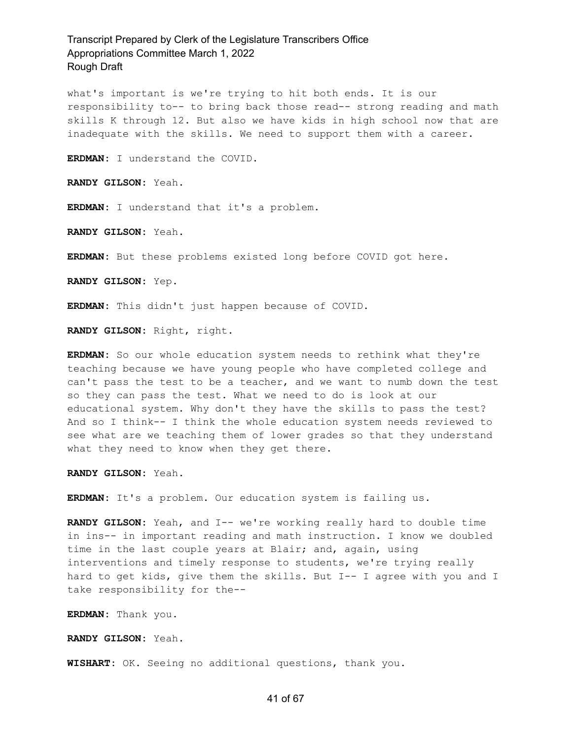what's important is we're trying to hit both ends. It is our responsibility to-- to bring back those read-- strong reading and math skills K through 12. But also we have kids in high school now that are inadequate with the skills. We need to support them with a career.

**ERDMAN:** I understand the COVID.

**RANDY GILSON:** Yeah.

**ERDMAN:** I understand that it's a problem.

**RANDY GILSON:** Yeah.

**ERDMAN:** But these problems existed long before COVID got here.

**RANDY GILSON:** Yep.

**ERDMAN:** This didn't just happen because of COVID.

**RANDY GILSON:** Right, right.

**ERDMAN:** So our whole education system needs to rethink what they're teaching because we have young people who have completed college and can't pass the test to be a teacher, and we want to numb down the test so they can pass the test. What we need to do is look at our educational system. Why don't they have the skills to pass the test? And so I think-- I think the whole education system needs reviewed to see what are we teaching them of lower grades so that they understand what they need to know when they get there.

**RANDY GILSON:** Yeah.

**ERDMAN:** It's a problem. Our education system is failing us.

**RANDY GILSON:** Yeah, and I-- we're working really hard to double time in ins-- in important reading and math instruction. I know we doubled time in the last couple years at Blair; and, again, using interventions and timely response to students, we're trying really hard to get kids, give them the skills. But I-- I agree with you and I take responsibility for the--

**ERDMAN:** Thank you.

**RANDY GILSON:** Yeah.

**WISHART:** OK. Seeing no additional questions, thank you.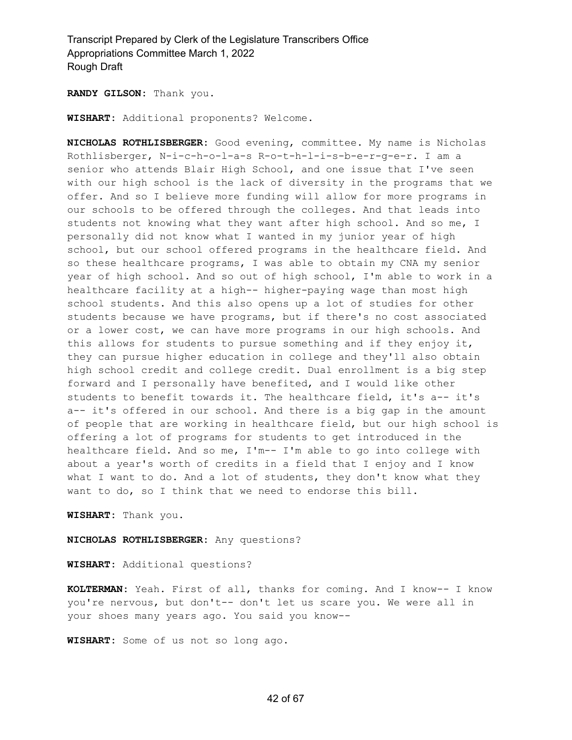**RANDY GILSON:** Thank you.

**WISHART:** Additional proponents? Welcome.

**NICHOLAS ROTHLISBERGER:** Good evening, committee. My name is Nicholas Rothlisberger, N-i-c-h-o-l-a-s R-o-t-h-l-i-s-b-e-r-g-e-r. I am a senior who attends Blair High School, and one issue that I've seen with our high school is the lack of diversity in the programs that we offer. And so I believe more funding will allow for more programs in our schools to be offered through the colleges. And that leads into students not knowing what they want after high school. And so me, I personally did not know what I wanted in my junior year of high school, but our school offered programs in the healthcare field. And so these healthcare programs, I was able to obtain my CNA my senior year of high school. And so out of high school, I'm able to work in a healthcare facility at a high-- higher-paying wage than most high school students. And this also opens up a lot of studies for other students because we have programs, but if there's no cost associated or a lower cost, we can have more programs in our high schools. And this allows for students to pursue something and if they enjoy it, they can pursue higher education in college and they'll also obtain high school credit and college credit. Dual enrollment is a big step forward and I personally have benefited, and I would like other students to benefit towards it. The healthcare field, it's a-- it's a-- it's offered in our school. And there is a big gap in the amount of people that are working in healthcare field, but our high school is offering a lot of programs for students to get introduced in the healthcare field. And so me, I'm-- I'm able to go into college with about a year's worth of credits in a field that I enjoy and I know what I want to do. And a lot of students, they don't know what they want to do, so I think that we need to endorse this bill.

**WISHART:** Thank you.

**NICHOLAS ROTHLISBERGER:** Any questions?

**WISHART:** Additional questions?

**KOLTERMAN:** Yeah. First of all, thanks for coming. And I know-- I know you're nervous, but don't-- don't let us scare you. We were all in your shoes many years ago. You said you know--

**WISHART:** Some of us not so long ago.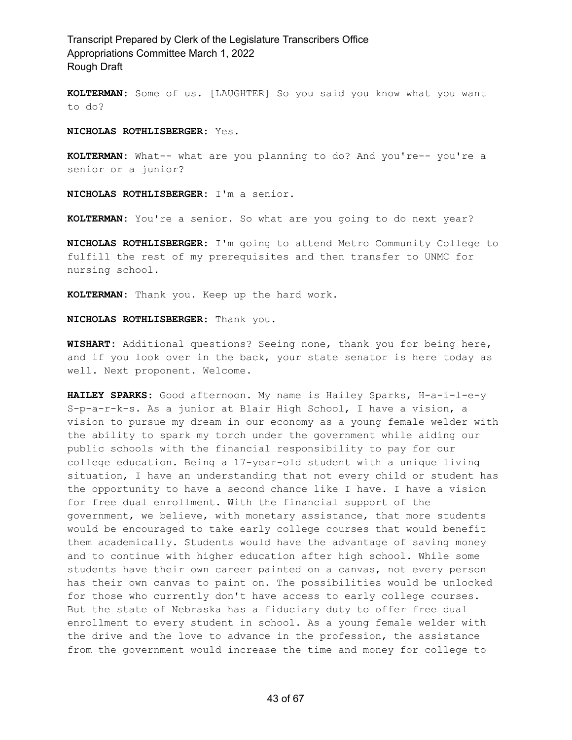**KOLTERMAN:** Some of us. [LAUGHTER] So you said you know what you want to do?

**NICHOLAS ROTHLISBERGER:** Yes.

**KOLTERMAN:** What-- what are you planning to do? And you're-- you're a senior or a junior?

**NICHOLAS ROTHLISBERGER:** I'm a senior.

**KOLTERMAN:** You're a senior. So what are you going to do next year?

**NICHOLAS ROTHLISBERGER:** I'm going to attend Metro Community College to fulfill the rest of my prerequisites and then transfer to UNMC for nursing school.

**KOLTERMAN:** Thank you. Keep up the hard work.

**NICHOLAS ROTHLISBERGER:** Thank you.

**WISHART:** Additional questions? Seeing none, thank you for being here, and if you look over in the back, your state senator is here today as well. Next proponent. Welcome.

**HAILEY SPARKS:** Good afternoon. My name is Hailey Sparks, H-a-i-l-e-y S-p-a-r-k-s. As a junior at Blair High School, I have a vision, a vision to pursue my dream in our economy as a young female welder with the ability to spark my torch under the government while aiding our public schools with the financial responsibility to pay for our college education. Being a 17-year-old student with a unique living situation, I have an understanding that not every child or student has the opportunity to have a second chance like I have. I have a vision for free dual enrollment. With the financial support of the government, we believe, with monetary assistance, that more students would be encouraged to take early college courses that would benefit them academically. Students would have the advantage of saving money and to continue with higher education after high school. While some students have their own career painted on a canvas, not every person has their own canvas to paint on. The possibilities would be unlocked for those who currently don't have access to early college courses. But the state of Nebraska has a fiduciary duty to offer free dual enrollment to every student in school. As a young female welder with the drive and the love to advance in the profession, the assistance from the government would increase the time and money for college to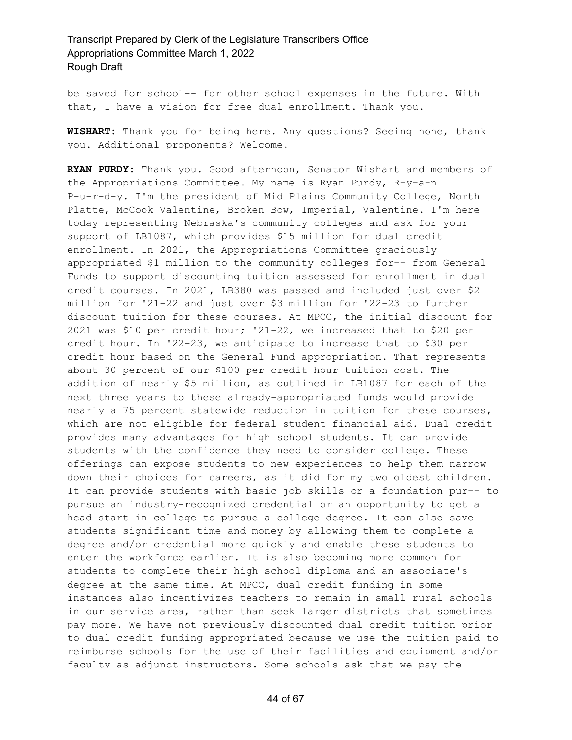be saved for school-- for other school expenses in the future. With that, I have a vision for free dual enrollment. Thank you.

**WISHART:** Thank you for being here. Any questions? Seeing none, thank you. Additional proponents? Welcome.

**RYAN PURDY:** Thank you. Good afternoon, Senator Wishart and members of the Appropriations Committee. My name is Ryan Purdy, R-y-a-n P-u-r-d-y. I'm the president of Mid Plains Community College, North Platte, McCook Valentine, Broken Bow, Imperial, Valentine. I'm here today representing Nebraska's community colleges and ask for your support of LB1087, which provides \$15 million for dual credit enrollment. In 2021, the Appropriations Committee graciously appropriated \$1 million to the community colleges for-- from General Funds to support discounting tuition assessed for enrollment in dual credit courses. In 2021, LB380 was passed and included just over \$2 million for '21-22 and just over \$3 million for '22-23 to further discount tuition for these courses. At MPCC, the initial discount for 2021 was \$10 per credit hour; '21-22, we increased that to \$20 per credit hour. In '22-23, we anticipate to increase that to \$30 per credit hour based on the General Fund appropriation. That represents about 30 percent of our \$100-per-credit-hour tuition cost. The addition of nearly \$5 million, as outlined in LB1087 for each of the next three years to these already-appropriated funds would provide nearly a 75 percent statewide reduction in tuition for these courses, which are not eligible for federal student financial aid. Dual credit provides many advantages for high school students. It can provide students with the confidence they need to consider college. These offerings can expose students to new experiences to help them narrow down their choices for careers, as it did for my two oldest children. It can provide students with basic job skills or a foundation pur-- to pursue an industry-recognized credential or an opportunity to get a head start in college to pursue a college degree. It can also save students significant time and money by allowing them to complete a degree and/or credential more quickly and enable these students to enter the workforce earlier. It is also becoming more common for students to complete their high school diploma and an associate's degree at the same time. At MPCC, dual credit funding in some instances also incentivizes teachers to remain in small rural schools in our service area, rather than seek larger districts that sometimes pay more. We have not previously discounted dual credit tuition prior to dual credit funding appropriated because we use the tuition paid to reimburse schools for the use of their facilities and equipment and/or faculty as adjunct instructors. Some schools ask that we pay the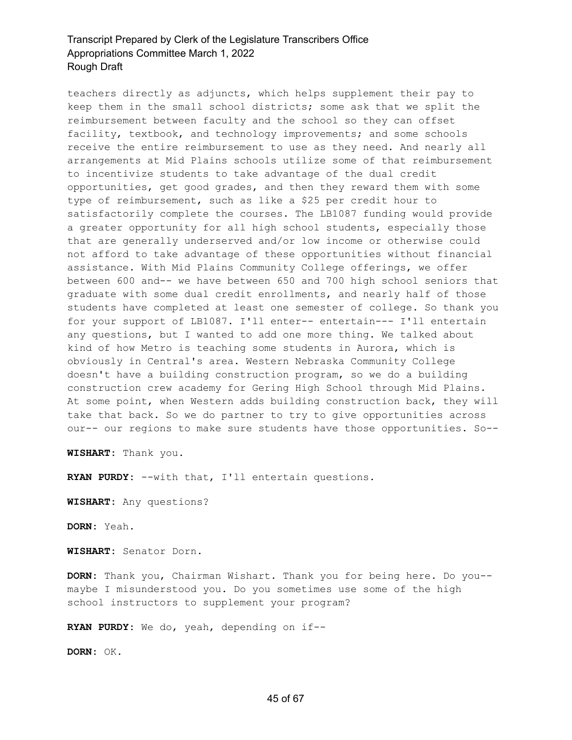teachers directly as adjuncts, which helps supplement their pay to keep them in the small school districts; some ask that we split the reimbursement between faculty and the school so they can offset facility, textbook, and technology improvements; and some schools receive the entire reimbursement to use as they need. And nearly all arrangements at Mid Plains schools utilize some of that reimbursement to incentivize students to take advantage of the dual credit opportunities, get good grades, and then they reward them with some type of reimbursement, such as like a \$25 per credit hour to satisfactorily complete the courses. The LB1087 funding would provide a greater opportunity for all high school students, especially those that are generally underserved and/or low income or otherwise could not afford to take advantage of these opportunities without financial assistance. With Mid Plains Community College offerings, we offer between 600 and-- we have between 650 and 700 high school seniors that graduate with some dual credit enrollments, and nearly half of those students have completed at least one semester of college. So thank you for your support of LB1087. I'll enter-- entertain--- I'll entertain any questions, but I wanted to add one more thing. We talked about kind of how Metro is teaching some students in Aurora, which is obviously in Central's area. Western Nebraska Community College doesn't have a building construction program, so we do a building construction crew academy for Gering High School through Mid Plains. At some point, when Western adds building construction back, they will take that back. So we do partner to try to give opportunities across our-- our regions to make sure students have those opportunities. So--

**WISHART:** Thank you.

**RYAN PURDY:** --with that, I'll entertain questions.

**WISHART:** Any questions?

**DORN:** Yeah.

**WISHART:** Senator Dorn.

**DORN:** Thank you, Chairman Wishart. Thank you for being here. Do you- maybe I misunderstood you. Do you sometimes use some of the high school instructors to supplement your program?

**RYAN PURDY:** We do, yeah, depending on if--

**DORN:** OK.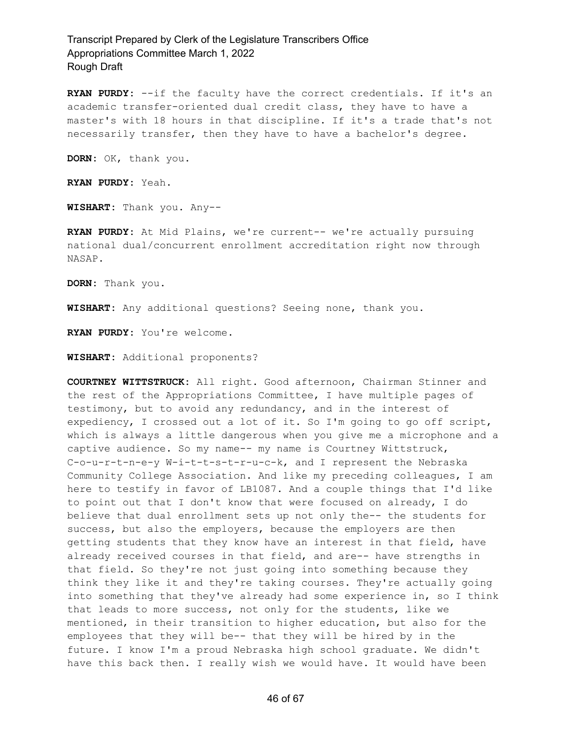**RYAN PURDY:** --if the faculty have the correct credentials. If it's an academic transfer-oriented dual credit class, they have to have a master's with 18 hours in that discipline. If it's a trade that's not necessarily transfer, then they have to have a bachelor's degree.

**DORN:** OK, thank you.

**RYAN PURDY:** Yeah.

**WISHART:** Thank you. Any--

**RYAN PURDY:** At Mid Plains, we're current-- we're actually pursuing national dual/concurrent enrollment accreditation right now through NASAP.

**DORN:** Thank you.

**WISHART:** Any additional questions? Seeing none, thank you.

**RYAN PURDY:** You're welcome.

**WISHART:** Additional proponents?

**COURTNEY WITTSTRUCK:** All right. Good afternoon, Chairman Stinner and the rest of the Appropriations Committee, I have multiple pages of testimony, but to avoid any redundancy, and in the interest of expediency, I crossed out a lot of it. So I'm going to go off script, which is always a little dangerous when you give me a microphone and a captive audience. So my name-- my name is Courtney Wittstruck, C-o-u-r-t-n-e-y W-i-t-t-s-t-r-u-c-k, and I represent the Nebraska Community College Association. And like my preceding colleagues, I am here to testify in favor of LB1087. And a couple things that I'd like to point out that I don't know that were focused on already, I do believe that dual enrollment sets up not only the-- the students for success, but also the employers, because the employers are then getting students that they know have an interest in that field, have already received courses in that field, and are-- have strengths in that field. So they're not just going into something because they think they like it and they're taking courses. They're actually going into something that they've already had some experience in, so I think that leads to more success, not only for the students, like we mentioned, in their transition to higher education, but also for the employees that they will be-- that they will be hired by in the future. I know I'm a proud Nebraska high school graduate. We didn't have this back then. I really wish we would have. It would have been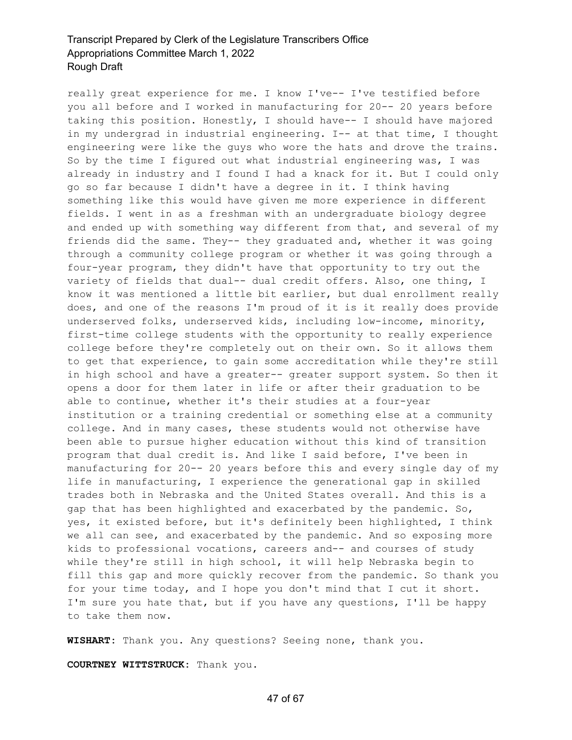really great experience for me. I know I've-- I've testified before you all before and I worked in manufacturing for 20-- 20 years before taking this position. Honestly, I should have-- I should have majored in my undergrad in industrial engineering. I-- at that time, I thought engineering were like the guys who wore the hats and drove the trains. So by the time I figured out what industrial engineering was, I was already in industry and I found I had a knack for it. But I could only go so far because I didn't have a degree in it. I think having something like this would have given me more experience in different fields. I went in as a freshman with an undergraduate biology degree and ended up with something way different from that, and several of my friends did the same. They-- they graduated and, whether it was going through a community college program or whether it was going through a four-year program, they didn't have that opportunity to try out the variety of fields that dual-- dual credit offers. Also, one thing, I know it was mentioned a little bit earlier, but dual enrollment really does, and one of the reasons I'm proud of it is it really does provide underserved folks, underserved kids, including low-income, minority, first-time college students with the opportunity to really experience college before they're completely out on their own. So it allows them to get that experience, to gain some accreditation while they're still in high school and have a greater-- greater support system. So then it opens a door for them later in life or after their graduation to be able to continue, whether it's their studies at a four-year institution or a training credential or something else at a community college. And in many cases, these students would not otherwise have been able to pursue higher education without this kind of transition program that dual credit is. And like I said before, I've been in manufacturing for 20-- 20 years before this and every single day of my life in manufacturing, I experience the generational gap in skilled trades both in Nebraska and the United States overall. And this is a gap that has been highlighted and exacerbated by the pandemic. So, yes, it existed before, but it's definitely been highlighted, I think we all can see, and exacerbated by the pandemic. And so exposing more kids to professional vocations, careers and-- and courses of study while they're still in high school, it will help Nebraska begin to fill this gap and more quickly recover from the pandemic. So thank you for your time today, and I hope you don't mind that I cut it short. I'm sure you hate that, but if you have any questions, I'll be happy to take them now.

**WISHART:** Thank you. Any questions? Seeing none, thank you.

**COURTNEY WITTSTRUCK:** Thank you.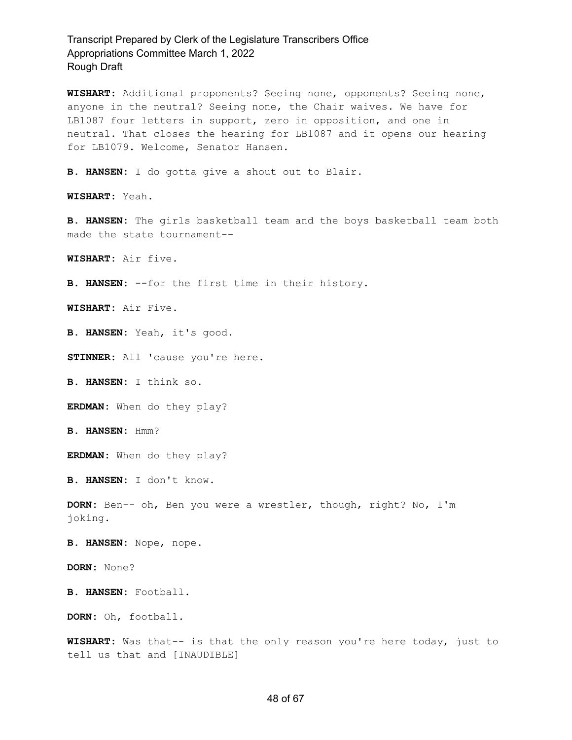**WISHART:** Additional proponents? Seeing none, opponents? Seeing none, anyone in the neutral? Seeing none, the Chair waives. We have for LB1087 four letters in support, zero in opposition, and one in neutral. That closes the hearing for LB1087 and it opens our hearing for LB1079. Welcome, Senator Hansen.

**B. HANSEN:** I do gotta give a shout out to Blair.

**WISHART:** Yeah.

**B. HANSEN:** The girls basketball team and the boys basketball team both made the state tournament--

**WISHART:** Air five.

**B. HANSEN:** --for the first time in their history.

**WISHART:** Air Five.

**B. HANSEN:** Yeah, it's good.

**STINNER:** All 'cause you're here.

**B. HANSEN:** I think so.

**ERDMAN:** When do they play?

**B. HANSEN:** Hmm?

**ERDMAN:** When do they play?

**B. HANSEN:** I don't know.

**DORN:** Ben-- oh, Ben you were a wrestler, though, right? No, I'm joking.

**B. HANSEN:** Nope, nope.

**DORN:** None?

**B. HANSEN:** Football.

**DORN:** Oh, football.

**WISHART:** Was that-- is that the only reason you're here today, just to tell us that and [INAUDIBLE]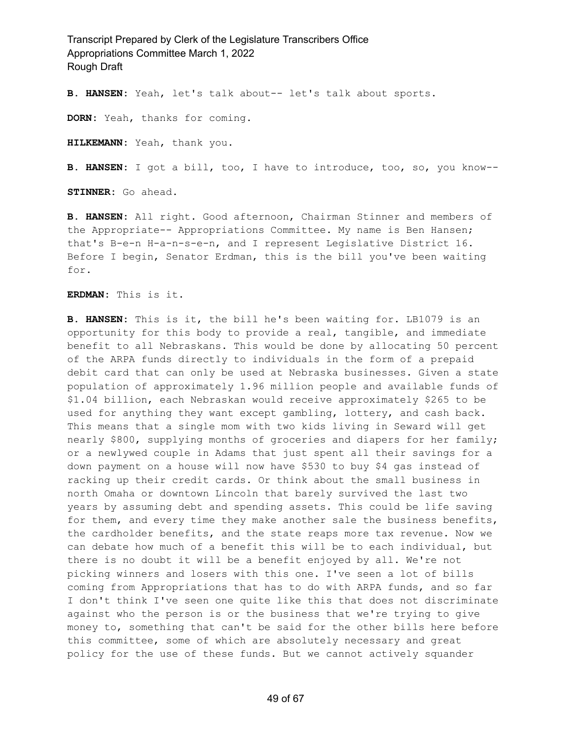**B. HANSEN:** Yeah, let's talk about-- let's talk about sports.

**DORN:** Yeah, thanks for coming.

**HILKEMANN:** Yeah, thank you.

**B. HANSEN:** I got a bill, too, I have to introduce, too, so, you know--

**STINNER:** Go ahead.

**B. HANSEN:** All right. Good afternoon, Chairman Stinner and members of the Appropriate-- Appropriations Committee. My name is Ben Hansen; that's B-e-n H-a-n-s-e-n, and I represent Legislative District 16. Before I begin, Senator Erdman, this is the bill you've been waiting for.

**ERDMAN:** This is it.

**B. HANSEN:** This is it, the bill he's been waiting for. LB1079 is an opportunity for this body to provide a real, tangible, and immediate benefit to all Nebraskans. This would be done by allocating 50 percent of the ARPA funds directly to individuals in the form of a prepaid debit card that can only be used at Nebraska businesses. Given a state population of approximately 1.96 million people and available funds of \$1.04 billion, each Nebraskan would receive approximately \$265 to be used for anything they want except gambling, lottery, and cash back. This means that a single mom with two kids living in Seward will get nearly \$800, supplying months of groceries and diapers for her family; or a newlywed couple in Adams that just spent all their savings for a down payment on a house will now have \$530 to buy \$4 gas instead of racking up their credit cards. Or think about the small business in north Omaha or downtown Lincoln that barely survived the last two years by assuming debt and spending assets. This could be life saving for them, and every time they make another sale the business benefits, the cardholder benefits, and the state reaps more tax revenue. Now we can debate how much of a benefit this will be to each individual, but there is no doubt it will be a benefit enjoyed by all. We're not picking winners and losers with this one. I've seen a lot of bills coming from Appropriations that has to do with ARPA funds, and so far I don't think I've seen one quite like this that does not discriminate against who the person is or the business that we're trying to give money to, something that can't be said for the other bills here before this committee, some of which are absolutely necessary and great policy for the use of these funds. But we cannot actively squander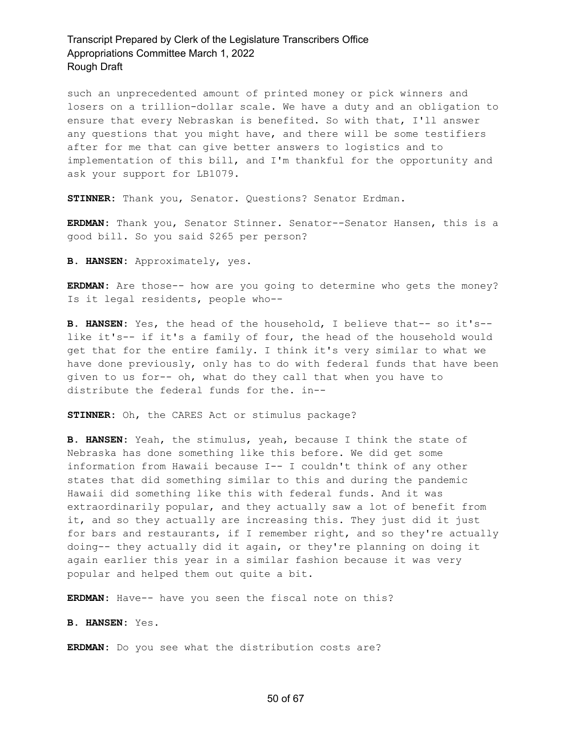such an unprecedented amount of printed money or pick winners and losers on a trillion-dollar scale. We have a duty and an obligation to ensure that every Nebraskan is benefited. So with that, I'll answer any questions that you might have, and there will be some testifiers after for me that can give better answers to logistics and to implementation of this bill, and I'm thankful for the opportunity and ask your support for LB1079.

**STINNER:** Thank you, Senator. Questions? Senator Erdman.

**ERDMAN:** Thank you, Senator Stinner. Senator--Senator Hansen, this is a good bill. So you said \$265 per person?

**B. HANSEN:** Approximately, yes.

**ERDMAN:** Are those-- how are you going to determine who gets the money? Is it legal residents, people who--

**B. HANSEN:** Yes, the head of the household, I believe that-- so it's- like it's-- if it's a family of four, the head of the household would get that for the entire family. I think it's very similar to what we have done previously, only has to do with federal funds that have been given to us for-- oh, what do they call that when you have to distribute the federal funds for the. in--

**STINNER:** Oh, the CARES Act or stimulus package?

**B. HANSEN:** Yeah, the stimulus, yeah, because I think the state of Nebraska has done something like this before. We did get some information from Hawaii because I-- I couldn't think of any other states that did something similar to this and during the pandemic Hawaii did something like this with federal funds. And it was extraordinarily popular, and they actually saw a lot of benefit from it, and so they actually are increasing this. They just did it just for bars and restaurants, if I remember right, and so they're actually doing-- they actually did it again, or they're planning on doing it again earlier this year in a similar fashion because it was very popular and helped them out quite a bit.

**ERDMAN:** Have-- have you seen the fiscal note on this?

**B. HANSEN:** Yes.

**ERDMAN:** Do you see what the distribution costs are?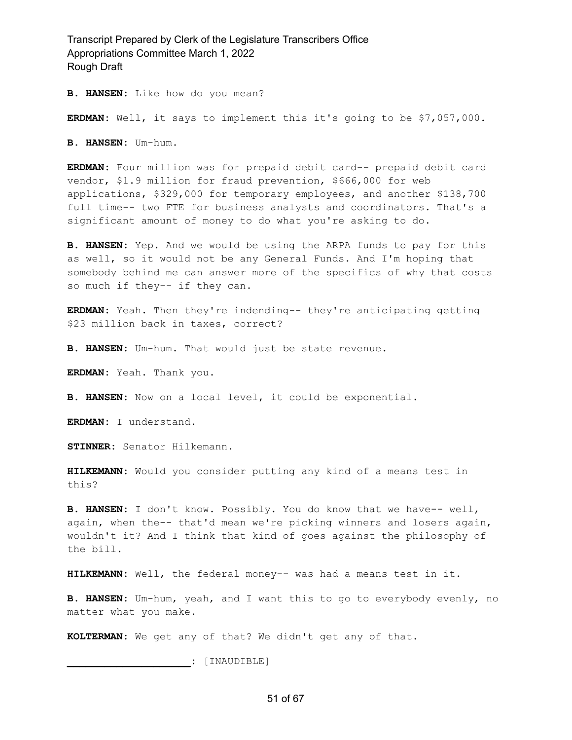**B. HANSEN:** Like how do you mean?

**ERDMAN:** Well, it says to implement this it's going to be \$7,057,000.

**B. HANSEN:** Um-hum.

**ERDMAN:** Four million was for prepaid debit card-- prepaid debit card vendor, \$1.9 million for fraud prevention, \$666,000 for web applications, \$329,000 for temporary employees, and another \$138,700 full time-- two FTE for business analysts and coordinators. That's a significant amount of money to do what you're asking to do.

**B. HANSEN:** Yep. And we would be using the ARPA funds to pay for this as well, so it would not be any General Funds. And I'm hoping that somebody behind me can answer more of the specifics of why that costs so much if they-- if they can.

**ERDMAN:** Yeah. Then they're indending-- they're anticipating getting \$23 million back in taxes, correct?

**B. HANSEN:** Um-hum. That would just be state revenue.

**ERDMAN:** Yeah. Thank you.

**B. HANSEN:** Now on a local level, it could be exponential.

**ERDMAN:** I understand.

**STINNER:** Senator Hilkemann.

**HILKEMANN:** Would you consider putting any kind of a means test in this?

**B. HANSEN:** I don't know. Possibly. You do know that we have-- well, again, when the-- that'd mean we're picking winners and losers again, wouldn't it? And I think that kind of goes against the philosophy of the bill.

**HILKEMANN:** Well, the federal money-- was had a means test in it.

**B. HANSEN:** Um-hum, yeah, and I want this to go to everybody evenly, no matter what you make.

**KOLTERMAN:** We get any of that? We didn't get any of that.

**\_\_\_\_\_\_\_\_\_\_\_\_\_\_\_\_\_\_\_\_:** [INAUDIBLE]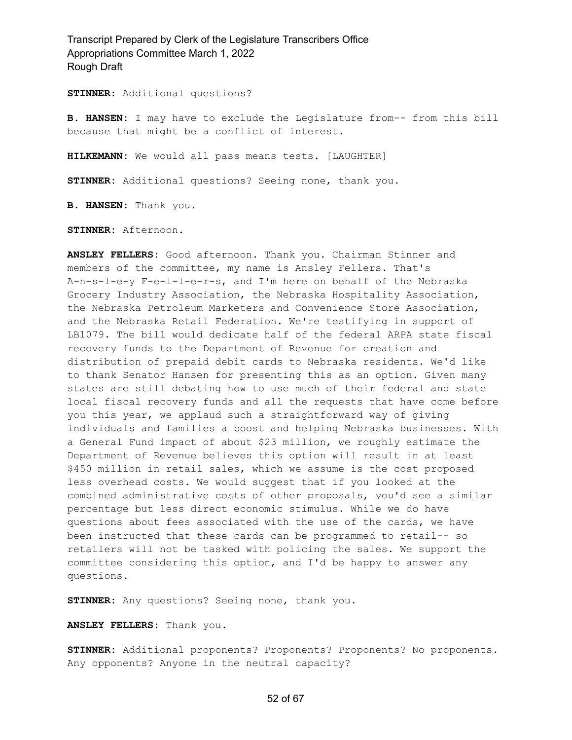**STINNER:** Additional questions?

**B. HANSEN:** I may have to exclude the Legislature from-- from this bill because that might be a conflict of interest.

**HILKEMANN:** We would all pass means tests. [LAUGHTER]

**STINNER:** Additional questions? Seeing none, thank you.

**B. HANSEN:** Thank you.

**STINNER:** Afternoon.

**ANSLEY FELLERS:** Good afternoon. Thank you. Chairman Stinner and members of the committee, my name is Ansley Fellers. That's A-n-s-l-e-y F-e-l-l-e-r-s, and I'm here on behalf of the Nebraska Grocery Industry Association, the Nebraska Hospitality Association, the Nebraska Petroleum Marketers and Convenience Store Association, and the Nebraska Retail Federation. We're testifying in support of LB1079. The bill would dedicate half of the federal ARPA state fiscal recovery funds to the Department of Revenue for creation and distribution of prepaid debit cards to Nebraska residents. We'd like to thank Senator Hansen for presenting this as an option. Given many states are still debating how to use much of their federal and state local fiscal recovery funds and all the requests that have come before you this year, we applaud such a straightforward way of giving individuals and families a boost and helping Nebraska businesses. With a General Fund impact of about \$23 million, we roughly estimate the Department of Revenue believes this option will result in at least \$450 million in retail sales, which we assume is the cost proposed less overhead costs. We would suggest that if you looked at the combined administrative costs of other proposals, you'd see a similar percentage but less direct economic stimulus. While we do have questions about fees associated with the use of the cards, we have been instructed that these cards can be programmed to retail-- so retailers will not be tasked with policing the sales. We support the committee considering this option, and I'd be happy to answer any questions.

**STINNER:** Any questions? Seeing none, thank you.

**ANSLEY FELLERS:** Thank you.

**STINNER:** Additional proponents? Proponents? Proponents? No proponents. Any opponents? Anyone in the neutral capacity?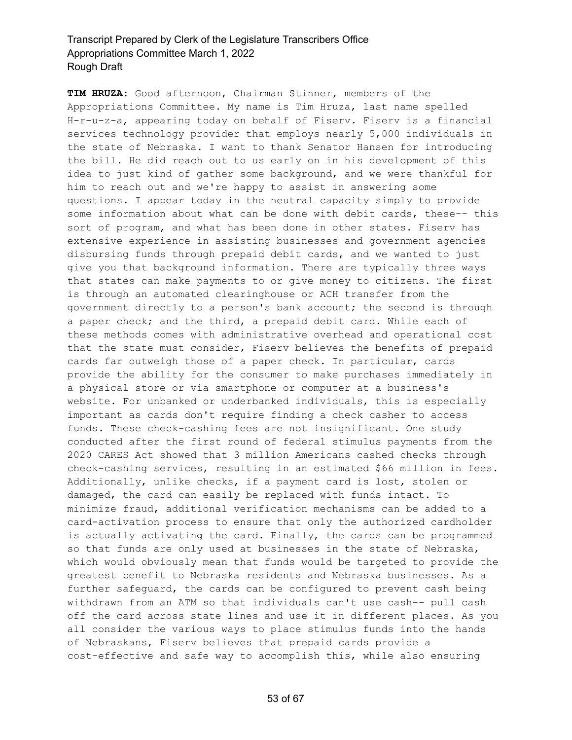**TIM HRUZA:** Good afternoon, Chairman Stinner, members of the Appropriations Committee. My name is Tim Hruza, last name spelled H-r-u-z-a, appearing today on behalf of Fiserv. Fiserv is a financial services technology provider that employs nearly 5,000 individuals in the state of Nebraska. I want to thank Senator Hansen for introducing the bill. He did reach out to us early on in his development of this idea to just kind of gather some background, and we were thankful for him to reach out and we're happy to assist in answering some questions. I appear today in the neutral capacity simply to provide some information about what can be done with debit cards, these-- this sort of program, and what has been done in other states. Fiserv has extensive experience in assisting businesses and government agencies disbursing funds through prepaid debit cards, and we wanted to just give you that background information. There are typically three ways that states can make payments to or give money to citizens. The first is through an automated clearinghouse or ACH transfer from the government directly to a person's bank account; the second is through a paper check; and the third, a prepaid debit card. While each of these methods comes with administrative overhead and operational cost that the state must consider, Fiserv believes the benefits of prepaid cards far outweigh those of a paper check. In particular, cards provide the ability for the consumer to make purchases immediately in a physical store or via smartphone or computer at a business's website. For unbanked or underbanked individuals, this is especially important as cards don't require finding a check casher to access funds. These check-cashing fees are not insignificant. One study conducted after the first round of federal stimulus payments from the 2020 CARES Act showed that 3 million Americans cashed checks through check-cashing services, resulting in an estimated \$66 million in fees. Additionally, unlike checks, if a payment card is lost, stolen or damaged, the card can easily be replaced with funds intact. To minimize fraud, additional verification mechanisms can be added to a card-activation process to ensure that only the authorized cardholder is actually activating the card. Finally, the cards can be programmed so that funds are only used at businesses in the state of Nebraska, which would obviously mean that funds would be targeted to provide the greatest benefit to Nebraska residents and Nebraska businesses. As a further safeguard, the cards can be configured to prevent cash being withdrawn from an ATM so that individuals can't use cash-- pull cash off the card across state lines and use it in different places. As you all consider the various ways to place stimulus funds into the hands of Nebraskans, Fiserv believes that prepaid cards provide a cost-effective and safe way to accomplish this, while also ensuring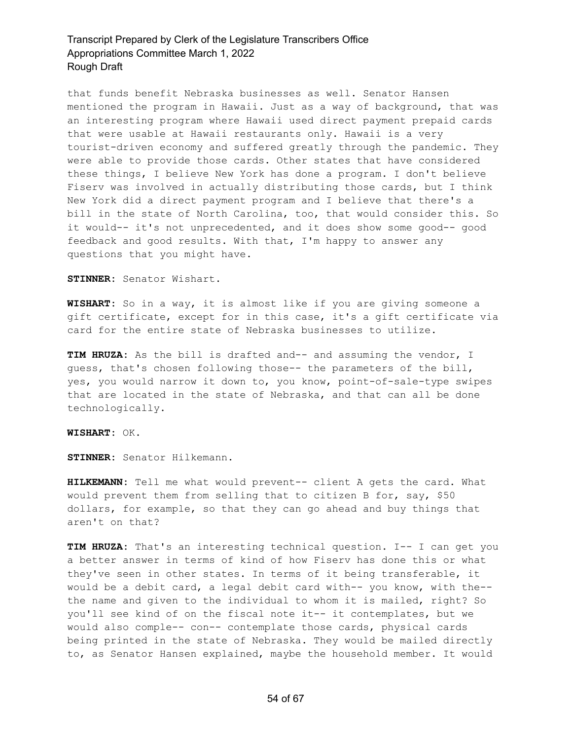that funds benefit Nebraska businesses as well. Senator Hansen mentioned the program in Hawaii. Just as a way of background, that was an interesting program where Hawaii used direct payment prepaid cards that were usable at Hawaii restaurants only. Hawaii is a very tourist-driven economy and suffered greatly through the pandemic. They were able to provide those cards. Other states that have considered these things, I believe New York has done a program. I don't believe Fiserv was involved in actually distributing those cards, but I think New York did a direct payment program and I believe that there's a bill in the state of North Carolina, too, that would consider this. So it would-- it's not unprecedented, and it does show some good-- good feedback and good results. With that, I'm happy to answer any questions that you might have.

**STINNER:** Senator Wishart.

**WISHART:** So in a way, it is almost like if you are giving someone a gift certificate, except for in this case, it's a gift certificate via card for the entire state of Nebraska businesses to utilize.

**TIM HRUZA:** As the bill is drafted and-- and assuming the vendor, I guess, that's chosen following those-- the parameters of the bill, yes, you would narrow it down to, you know, point-of-sale-type swipes that are located in the state of Nebraska, and that can all be done technologically.

**WISHART:** OK.

**STINNER:** Senator Hilkemann.

**HILKEMANN:** Tell me what would prevent-- client A gets the card. What would prevent them from selling that to citizen B for, say, \$50 dollars, for example, so that they can go ahead and buy things that aren't on that?

**TIM HRUZA:** That's an interesting technical question. I-- I can get you a better answer in terms of kind of how Fiserv has done this or what they've seen in other states. In terms of it being transferable, it would be a debit card, a legal debit card with-- you know, with the- the name and given to the individual to whom it is mailed, right? So you'll see kind of on the fiscal note it-- it contemplates, but we would also comple-- con-- contemplate those cards, physical cards being printed in the state of Nebraska. They would be mailed directly to, as Senator Hansen explained, maybe the household member. It would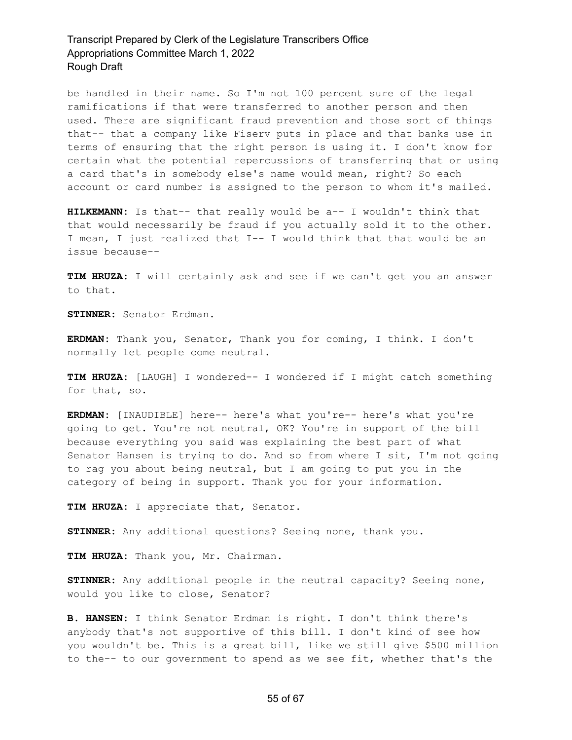be handled in their name. So I'm not 100 percent sure of the legal ramifications if that were transferred to another person and then used. There are significant fraud prevention and those sort of things that-- that a company like Fiserv puts in place and that banks use in terms of ensuring that the right person is using it. I don't know for certain what the potential repercussions of transferring that or using a card that's in somebody else's name would mean, right? So each account or card number is assigned to the person to whom it's mailed.

**HILKEMANN:** Is that-- that really would be a-- I wouldn't think that that would necessarily be fraud if you actually sold it to the other. I mean, I just realized that I-- I would think that that would be an issue because--

**TIM HRUZA:** I will certainly ask and see if we can't get you an answer to that.

**STINNER:** Senator Erdman.

**ERDMAN:** Thank you, Senator, Thank you for coming, I think. I don't normally let people come neutral.

**TIM HRUZA:** [LAUGH] I wondered-- I wondered if I might catch something for that, so.

**ERDMAN:** [INAUDIBLE] here-- here's what you're-- here's what you're going to get. You're not neutral, OK? You're in support of the bill because everything you said was explaining the best part of what Senator Hansen is trying to do. And so from where I sit, I'm not going to rag you about being neutral, but I am going to put you in the category of being in support. Thank you for your information.

**TIM HRUZA:** I appreciate that, Senator.

**STINNER:** Any additional questions? Seeing none, thank you.

**TIM HRUZA:** Thank you, Mr. Chairman.

**STINNER:** Any additional people in the neutral capacity? Seeing none, would you like to close, Senator?

**B. HANSEN:** I think Senator Erdman is right. I don't think there's anybody that's not supportive of this bill. I don't kind of see how you wouldn't be. This is a great bill, like we still give \$500 million to the-- to our government to spend as we see fit, whether that's the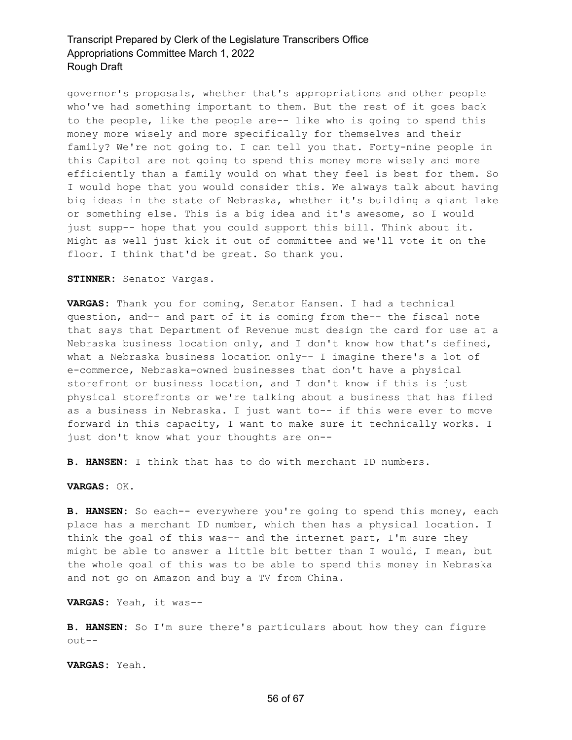governor's proposals, whether that's appropriations and other people who've had something important to them. But the rest of it goes back to the people, like the people are-- like who is going to spend this money more wisely and more specifically for themselves and their family? We're not going to. I can tell you that. Forty-nine people in this Capitol are not going to spend this money more wisely and more efficiently than a family would on what they feel is best for them. So I would hope that you would consider this. We always talk about having big ideas in the state of Nebraska, whether it's building a giant lake or something else. This is a big idea and it's awesome, so I would just supp-- hope that you could support this bill. Think about it. Might as well just kick it out of committee and we'll vote it on the floor. I think that'd be great. So thank you.

**STINNER:** Senator Vargas.

**VARGAS:** Thank you for coming, Senator Hansen. I had a technical question, and-- and part of it is coming from the-- the fiscal note that says that Department of Revenue must design the card for use at a Nebraska business location only, and I don't know how that's defined, what a Nebraska business location only-- I imagine there's a lot of e-commerce, Nebraska-owned businesses that don't have a physical storefront or business location, and I don't know if this is just physical storefronts or we're talking about a business that has filed as a business in Nebraska. I just want to-- if this were ever to move forward in this capacity, I want to make sure it technically works. I just don't know what your thoughts are on--

**B. HANSEN:** I think that has to do with merchant ID numbers.

**VARGAS:** OK.

**B. HANSEN:** So each-- everywhere you're going to spend this money, each place has a merchant ID number, which then has a physical location. I think the goal of this was-- and the internet part, I'm sure they might be able to answer a little bit better than I would, I mean, but the whole goal of this was to be able to spend this money in Nebraska and not go on Amazon and buy a TV from China.

**VARGAS:** Yeah, it was--

**B. HANSEN:** So I'm sure there's particulars about how they can figure out--

**VARGAS:** Yeah.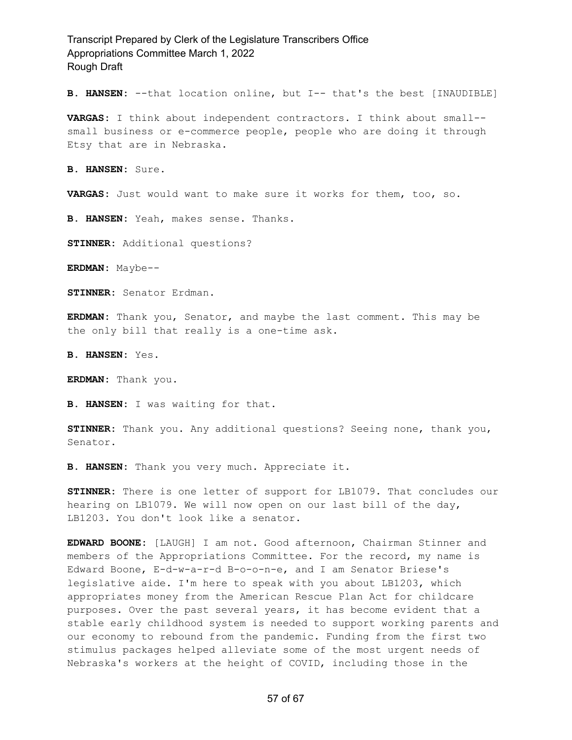**B. HANSEN:** --that location online, but I-- that's the best [INAUDIBLE]

**VARGAS:** I think about independent contractors. I think about small- small business or e-commerce people, people who are doing it through Etsy that are in Nebraska.

**B. HANSEN:** Sure.

**VARGAS:** Just would want to make sure it works for them, too, so.

**B. HANSEN:** Yeah, makes sense. Thanks.

**STINNER:** Additional questions?

**ERDMAN:** Maybe--

**STINNER:** Senator Erdman.

**ERDMAN:** Thank you, Senator, and maybe the last comment. This may be the only bill that really is a one-time ask.

**B. HANSEN:** Yes.

**ERDMAN:** Thank you.

**B. HANSEN:** I was waiting for that.

**STINNER:** Thank you. Any additional questions? Seeing none, thank you, Senator.

**B. HANSEN:** Thank you very much. Appreciate it.

**STINNER:** There is one letter of support for LB1079. That concludes our hearing on LB1079. We will now open on our last bill of the day, LB1203. You don't look like a senator.

**EDWARD BOONE:** [LAUGH] I am not. Good afternoon, Chairman Stinner and members of the Appropriations Committee. For the record, my name is Edward Boone, E-d-w-a-r-d B-o-o-n-e, and I am Senator Briese's legislative aide. I'm here to speak with you about LB1203, which appropriates money from the American Rescue Plan Act for childcare purposes. Over the past several years, it has become evident that a stable early childhood system is needed to support working parents and our economy to rebound from the pandemic. Funding from the first two stimulus packages helped alleviate some of the most urgent needs of Nebraska's workers at the height of COVID, including those in the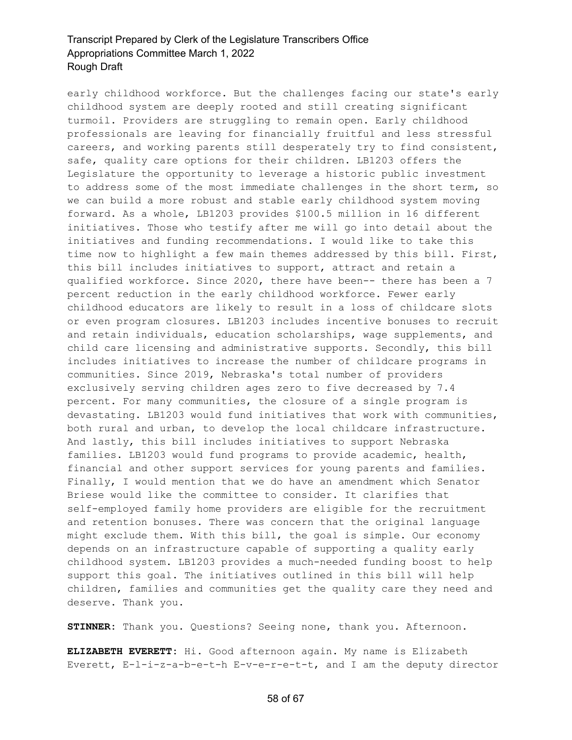early childhood workforce. But the challenges facing our state's early childhood system are deeply rooted and still creating significant turmoil. Providers are struggling to remain open. Early childhood professionals are leaving for financially fruitful and less stressful careers, and working parents still desperately try to find consistent, safe, quality care options for their children. LB1203 offers the Legislature the opportunity to leverage a historic public investment to address some of the most immediate challenges in the short term, so we can build a more robust and stable early childhood system moving forward. As a whole, LB1203 provides \$100.5 million in 16 different initiatives. Those who testify after me will go into detail about the initiatives and funding recommendations. I would like to take this time now to highlight a few main themes addressed by this bill. First, this bill includes initiatives to support, attract and retain a qualified workforce. Since 2020, there have been-- there has been a 7 percent reduction in the early childhood workforce. Fewer early childhood educators are likely to result in a loss of childcare slots or even program closures. LB1203 includes incentive bonuses to recruit and retain individuals, education scholarships, wage supplements, and child care licensing and administrative supports. Secondly, this bill includes initiatives to increase the number of childcare programs in communities. Since 2019, Nebraska's total number of providers exclusively serving children ages zero to five decreased by 7.4 percent. For many communities, the closure of a single program is devastating. LB1203 would fund initiatives that work with communities, both rural and urban, to develop the local childcare infrastructure. And lastly, this bill includes initiatives to support Nebraska families. LB1203 would fund programs to provide academic, health, financial and other support services for young parents and families. Finally, I would mention that we do have an amendment which Senator Briese would like the committee to consider. It clarifies that self-employed family home providers are eligible for the recruitment and retention bonuses. There was concern that the original language might exclude them. With this bill, the goal is simple. Our economy depends on an infrastructure capable of supporting a quality early childhood system. LB1203 provides a much-needed funding boost to help support this goal. The initiatives outlined in this bill will help children, families and communities get the quality care they need and deserve. Thank you.

**STINNER:** Thank you. Questions? Seeing none, thank you. Afternoon.

**ELIZABETH EVERETT:** Hi. Good afternoon again. My name is Elizabeth Everett, E-l-i-z-a-b-e-t-h E-v-e-r-e-t-t, and I am the deputy director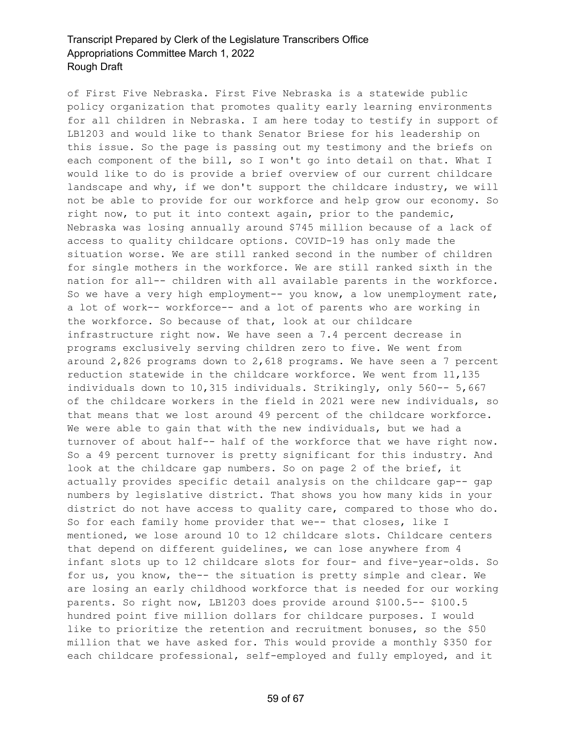of First Five Nebraska. First Five Nebraska is a statewide public policy organization that promotes quality early learning environments for all children in Nebraska. I am here today to testify in support of LB1203 and would like to thank Senator Briese for his leadership on this issue. So the page is passing out my testimony and the briefs on each component of the bill, so I won't go into detail on that. What I would like to do is provide a brief overview of our current childcare landscape and why, if we don't support the childcare industry, we will not be able to provide for our workforce and help grow our economy. So right now, to put it into context again, prior to the pandemic, Nebraska was losing annually around \$745 million because of a lack of access to quality childcare options. COVID-19 has only made the situation worse. We are still ranked second in the number of children for single mothers in the workforce. We are still ranked sixth in the nation for all-- children with all available parents in the workforce. So we have a very high employment-- you know, a low unemployment rate, a lot of work-- workforce-- and a lot of parents who are working in the workforce. So because of that, look at our childcare infrastructure right now. We have seen a 7.4 percent decrease in programs exclusively serving children zero to five. We went from around 2,826 programs down to 2,618 programs. We have seen a 7 percent reduction statewide in the childcare workforce. We went from 11,135 individuals down to 10,315 individuals. Strikingly, only 560-- 5,667 of the childcare workers in the field in 2021 were new individuals, so that means that we lost around 49 percent of the childcare workforce. We were able to gain that with the new individuals, but we had a turnover of about half-- half of the workforce that we have right now. So a 49 percent turnover is pretty significant for this industry. And look at the childcare gap numbers. So on page 2 of the brief, it actually provides specific detail analysis on the childcare gap-- gap numbers by legislative district. That shows you how many kids in your district do not have access to quality care, compared to those who do. So for each family home provider that we-- that closes, like I mentioned, we lose around 10 to 12 childcare slots. Childcare centers that depend on different guidelines, we can lose anywhere from 4 infant slots up to 12 childcare slots for four- and five-year-olds. So for us, you know, the-- the situation is pretty simple and clear. We are losing an early childhood workforce that is needed for our working parents. So right now, LB1203 does provide around \$100.5-- \$100.5 hundred point five million dollars for childcare purposes. I would like to prioritize the retention and recruitment bonuses, so the \$50 million that we have asked for. This would provide a monthly \$350 for each childcare professional, self-employed and fully employed, and it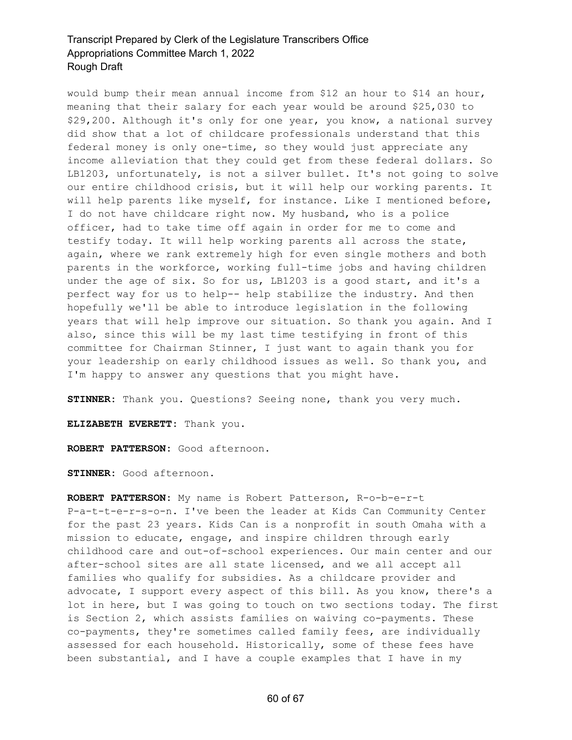would bump their mean annual income from \$12 an hour to \$14 an hour, meaning that their salary for each year would be around \$25,030 to \$29,200. Although it's only for one year, you know, a national survey did show that a lot of childcare professionals understand that this federal money is only one-time, so they would just appreciate any income alleviation that they could get from these federal dollars. So LB1203, unfortunately, is not a silver bullet. It's not going to solve our entire childhood crisis, but it will help our working parents. It will help parents like myself, for instance. Like I mentioned before, I do not have childcare right now. My husband, who is a police officer, had to take time off again in order for me to come and testify today. It will help working parents all across the state, again, where we rank extremely high for even single mothers and both parents in the workforce, working full-time jobs and having children under the age of six. So for us, LB1203 is a good start, and it's a perfect way for us to help-- help stabilize the industry. And then hopefully we'll be able to introduce legislation in the following years that will help improve our situation. So thank you again. And I also, since this will be my last time testifying in front of this committee for Chairman Stinner, I just want to again thank you for your leadership on early childhood issues as well. So thank you, and I'm happy to answer any questions that you might have.

**STINNER:** Thank you. Questions? Seeing none, thank you very much.

**ELIZABETH EVERETT:** Thank you.

**ROBERT PATTERSON:** Good afternoon.

**STINNER:** Good afternoon.

**ROBERT PATTERSON:** My name is Robert Patterson, R-o-b-e-r-t P-a-t-t-e-r-s-o-n. I've been the leader at Kids Can Community Center for the past 23 years. Kids Can is a nonprofit in south Omaha with a mission to educate, engage, and inspire children through early childhood care and out-of-school experiences. Our main center and our after-school sites are all state licensed, and we all accept all families who qualify for subsidies. As a childcare provider and advocate, I support every aspect of this bill. As you know, there's a lot in here, but I was going to touch on two sections today. The first is Section 2, which assists families on waiving co-payments. These co-payments, they're sometimes called family fees, are individually assessed for each household. Historically, some of these fees have been substantial, and I have a couple examples that I have in my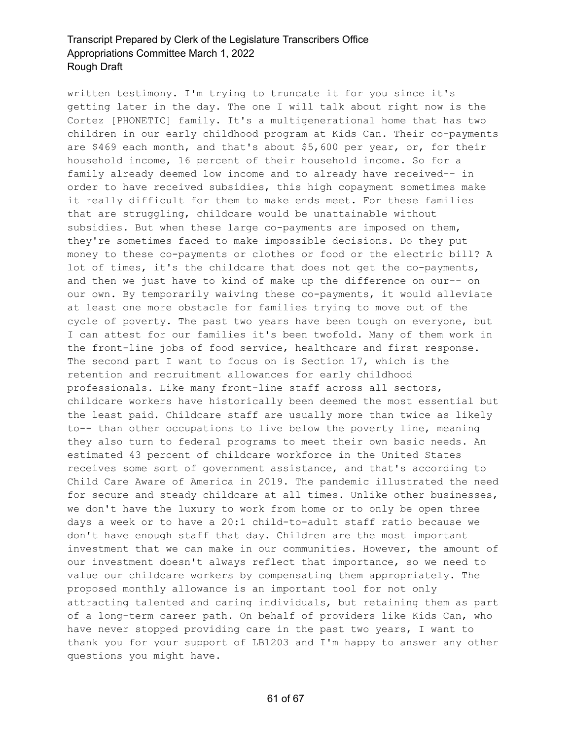written testimony. I'm trying to truncate it for you since it's getting later in the day. The one I will talk about right now is the Cortez [PHONETIC] family. It's a multigenerational home that has two children in our early childhood program at Kids Can. Their co-payments are \$469 each month, and that's about \$5,600 per year, or, for their household income, 16 percent of their household income. So for a family already deemed low income and to already have received-- in order to have received subsidies, this high copayment sometimes make it really difficult for them to make ends meet. For these families that are struggling, childcare would be unattainable without subsidies. But when these large co-payments are imposed on them, they're sometimes faced to make impossible decisions. Do they put money to these co-payments or clothes or food or the electric bill? A lot of times, it's the childcare that does not get the co-payments, and then we just have to kind of make up the difference on our-- on our own. By temporarily waiving these co-payments, it would alleviate at least one more obstacle for families trying to move out of the cycle of poverty. The past two years have been tough on everyone, but I can attest for our families it's been twofold. Many of them work in the front-line jobs of food service, healthcare and first response. The second part I want to focus on is Section 17, which is the retention and recruitment allowances for early childhood professionals. Like many front-line staff across all sectors, childcare workers have historically been deemed the most essential but the least paid. Childcare staff are usually more than twice as likely to-- than other occupations to live below the poverty line, meaning they also turn to federal programs to meet their own basic needs. An estimated 43 percent of childcare workforce in the United States receives some sort of government assistance, and that's according to Child Care Aware of America in 2019. The pandemic illustrated the need for secure and steady childcare at all times. Unlike other businesses, we don't have the luxury to work from home or to only be open three days a week or to have a 20:1 child-to-adult staff ratio because we don't have enough staff that day. Children are the most important investment that we can make in our communities. However, the amount of our investment doesn't always reflect that importance, so we need to value our childcare workers by compensating them appropriately. The proposed monthly allowance is an important tool for not only attracting talented and caring individuals, but retaining them as part of a long-term career path. On behalf of providers like Kids Can, who have never stopped providing care in the past two years, I want to thank you for your support of LB1203 and I'm happy to answer any other questions you might have.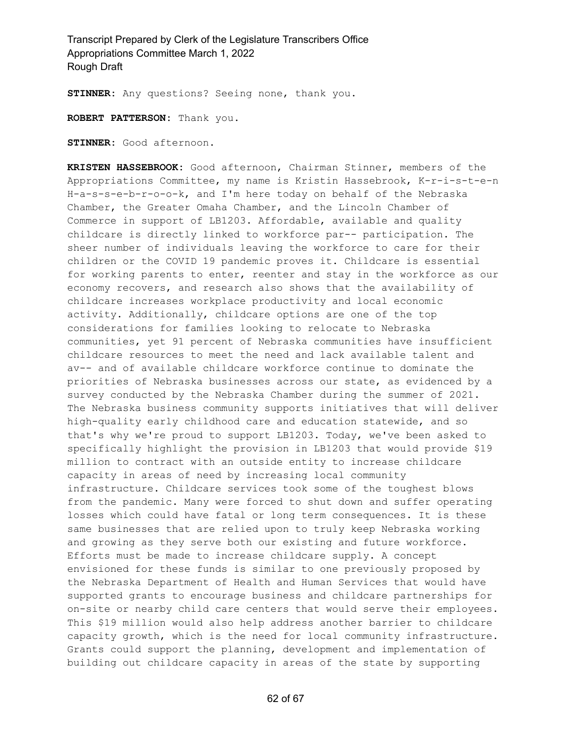**STINNER:** Any questions? Seeing none, thank you.

**ROBERT PATTERSON:** Thank you.

**STINNER:** Good afternoon.

**KRISTEN HASSEBROOK:** Good afternoon, Chairman Stinner, members of the Appropriations Committee, my name is Kristin Hassebrook, K-r-i-s-t-e-n H-a-s-s-e-b-r-o-o-k, and I'm here today on behalf of the Nebraska Chamber, the Greater Omaha Chamber, and the Lincoln Chamber of Commerce in support of LB1203. Affordable, available and quality childcare is directly linked to workforce par-- participation. The sheer number of individuals leaving the workforce to care for their children or the COVID 19 pandemic proves it. Childcare is essential for working parents to enter, reenter and stay in the workforce as our economy recovers, and research also shows that the availability of childcare increases workplace productivity and local economic activity. Additionally, childcare options are one of the top considerations for families looking to relocate to Nebraska communities, yet 91 percent of Nebraska communities have insufficient childcare resources to meet the need and lack available talent and av-- and of available childcare workforce continue to dominate the priorities of Nebraska businesses across our state, as evidenced by a survey conducted by the Nebraska Chamber during the summer of 2021. The Nebraska business community supports initiatives that will deliver high-quality early childhood care and education statewide, and so that's why we're proud to support LB1203. Today, we've been asked to specifically highlight the provision in LB1203 that would provide \$19 million to contract with an outside entity to increase childcare capacity in areas of need by increasing local community infrastructure. Childcare services took some of the toughest blows from the pandemic. Many were forced to shut down and suffer operating losses which could have fatal or long term consequences. It is these same businesses that are relied upon to truly keep Nebraska working and growing as they serve both our existing and future workforce. Efforts must be made to increase childcare supply. A concept envisioned for these funds is similar to one previously proposed by the Nebraska Department of Health and Human Services that would have supported grants to encourage business and childcare partnerships for on-site or nearby child care centers that would serve their employees. This \$19 million would also help address another barrier to childcare capacity growth, which is the need for local community infrastructure. Grants could support the planning, development and implementation of building out childcare capacity in areas of the state by supporting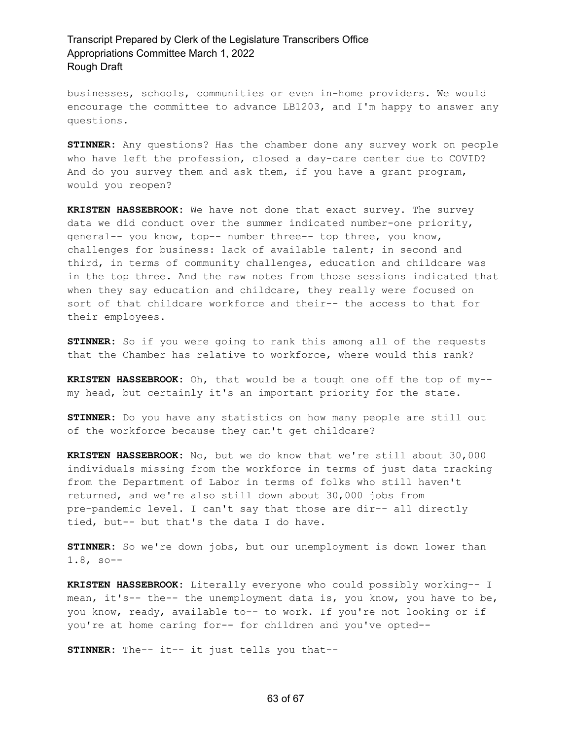businesses, schools, communities or even in-home providers. We would encourage the committee to advance LB1203, and I'm happy to answer any questions.

**STINNER:** Any questions? Has the chamber done any survey work on people who have left the profession, closed a day-care center due to COVID? And do you survey them and ask them, if you have a grant program, would you reopen?

**KRISTEN HASSEBROOK:** We have not done that exact survey. The survey data we did conduct over the summer indicated number-one priority, general-- you know, top-- number three-- top three, you know, challenges for business: lack of available talent; in second and third, in terms of community challenges, education and childcare was in the top three. And the raw notes from those sessions indicated that when they say education and childcare, they really were focused on sort of that childcare workforce and their-- the access to that for their employees.

**STINNER:** So if you were going to rank this among all of the requests that the Chamber has relative to workforce, where would this rank?

**KRISTEN HASSEBROOK:** Oh, that would be a tough one off the top of my- my head, but certainly it's an important priority for the state.

**STINNER:** Do you have any statistics on how many people are still out of the workforce because they can't get childcare?

**KRISTEN HASSEBROOK:** No, but we do know that we're still about 30,000 individuals missing from the workforce in terms of just data tracking from the Department of Labor in terms of folks who still haven't returned, and we're also still down about 30,000 jobs from pre-pandemic level. I can't say that those are dir-- all directly tied, but-- but that's the data I do have.

**STINNER:** So we're down jobs, but our unemployment is down lower than 1.8, so--

**KRISTEN HASSEBROOK:** Literally everyone who could possibly working-- I mean, it's-- the-- the unemployment data is, you know, you have to be, you know, ready, available to-- to work. If you're not looking or if you're at home caring for-- for children and you've opted--

**STINNER:** The-- it-- it just tells you that--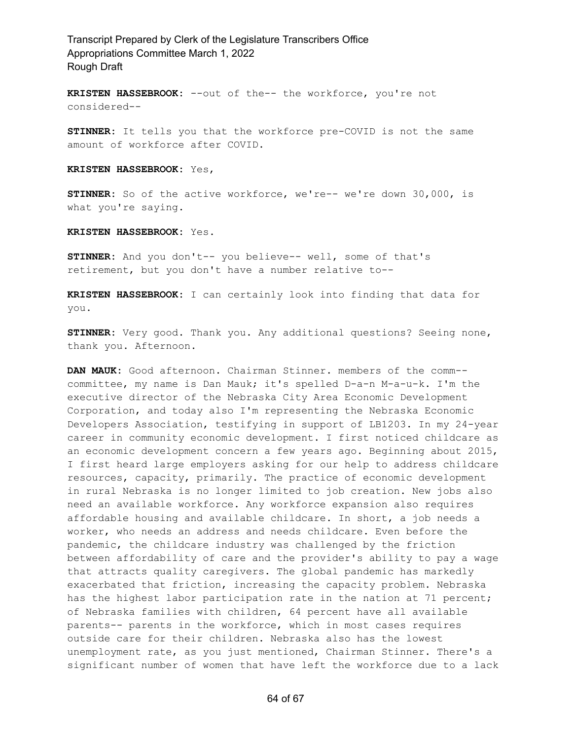**KRISTEN HASSEBROOK:** --out of the-- the workforce, you're not considered--

**STINNER:** It tells you that the workforce pre-COVID is not the same amount of workforce after COVID.

#### **KRISTEN HASSEBROOK:** Yes,

**STINNER:** So of the active workforce, we're-- we're down 30,000, is what you're saying.

#### **KRISTEN HASSEBROOK:** Yes.

**STINNER:** And you don't-- you believe-- well, some of that's retirement, but you don't have a number relative to--

**KRISTEN HASSEBROOK:** I can certainly look into finding that data for you.

**STINNER:** Very good. Thank you. Any additional questions? Seeing none, thank you. Afternoon.

**DAN MAUK:** Good afternoon. Chairman Stinner. members of the comm- committee, my name is Dan Mauk; it's spelled D-a-n M-a-u-k. I'm the executive director of the Nebraska City Area Economic Development Corporation, and today also I'm representing the Nebraska Economic Developers Association, testifying in support of LB1203. In my 24-year career in community economic development. I first noticed childcare as an economic development concern a few years ago. Beginning about 2015, I first heard large employers asking for our help to address childcare resources, capacity, primarily. The practice of economic development in rural Nebraska is no longer limited to job creation. New jobs also need an available workforce. Any workforce expansion also requires affordable housing and available childcare. In short, a job needs a worker, who needs an address and needs childcare. Even before the pandemic, the childcare industry was challenged by the friction between affordability of care and the provider's ability to pay a wage that attracts quality caregivers. The global pandemic has markedly exacerbated that friction, increasing the capacity problem. Nebraska has the highest labor participation rate in the nation at 71 percent; of Nebraska families with children, 64 percent have all available parents-- parents in the workforce, which in most cases requires outside care for their children. Nebraska also has the lowest unemployment rate, as you just mentioned, Chairman Stinner. There's a significant number of women that have left the workforce due to a lack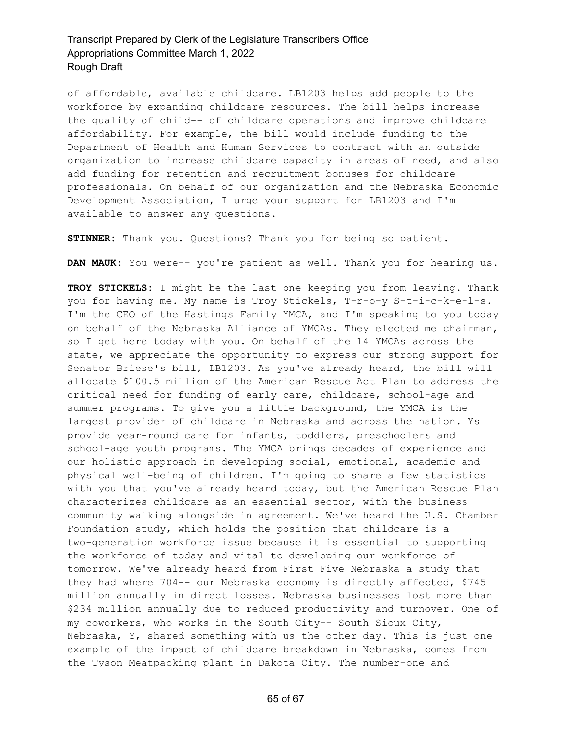of affordable, available childcare. LB1203 helps add people to the workforce by expanding childcare resources. The bill helps increase the quality of child-- of childcare operations and improve childcare affordability. For example, the bill would include funding to the Department of Health and Human Services to contract with an outside organization to increase childcare capacity in areas of need, and also add funding for retention and recruitment bonuses for childcare professionals. On behalf of our organization and the Nebraska Economic Development Association, I urge your support for LB1203 and I'm available to answer any questions.

**STINNER:** Thank you. Questions? Thank you for being so patient.

**DAN MAUK:** You were-- you're patient as well. Thank you for hearing us.

**TROY STICKELS:** I might be the last one keeping you from leaving. Thank you for having me. My name is Troy Stickels, T-r-o-y S-t-i-c-k-e-l-s. I'm the CEO of the Hastings Family YMCA, and I'm speaking to you today on behalf of the Nebraska Alliance of YMCAs. They elected me chairman, so I get here today with you. On behalf of the 14 YMCAs across the state, we appreciate the opportunity to express our strong support for Senator Briese's bill, LB1203. As you've already heard, the bill will allocate \$100.5 million of the American Rescue Act Plan to address the critical need for funding of early care, childcare, school-age and summer programs. To give you a little background, the YMCA is the largest provider of childcare in Nebraska and across the nation. Ys provide year-round care for infants, toddlers, preschoolers and school-age youth programs. The YMCA brings decades of experience and our holistic approach in developing social, emotional, academic and physical well-being of children. I'm going to share a few statistics with you that you've already heard today, but the American Rescue Plan characterizes childcare as an essential sector, with the business community walking alongside in agreement. We've heard the U.S. Chamber Foundation study, which holds the position that childcare is a two-generation workforce issue because it is essential to supporting the workforce of today and vital to developing our workforce of tomorrow. We've already heard from First Five Nebraska a study that they had where 704-- our Nebraska economy is directly affected, \$745 million annually in direct losses. Nebraska businesses lost more than \$234 million annually due to reduced productivity and turnover. One of my coworkers, who works in the South City-- South Sioux City, Nebraska, Y, shared something with us the other day. This is just one example of the impact of childcare breakdown in Nebraska, comes from the Tyson Meatpacking plant in Dakota City. The number-one and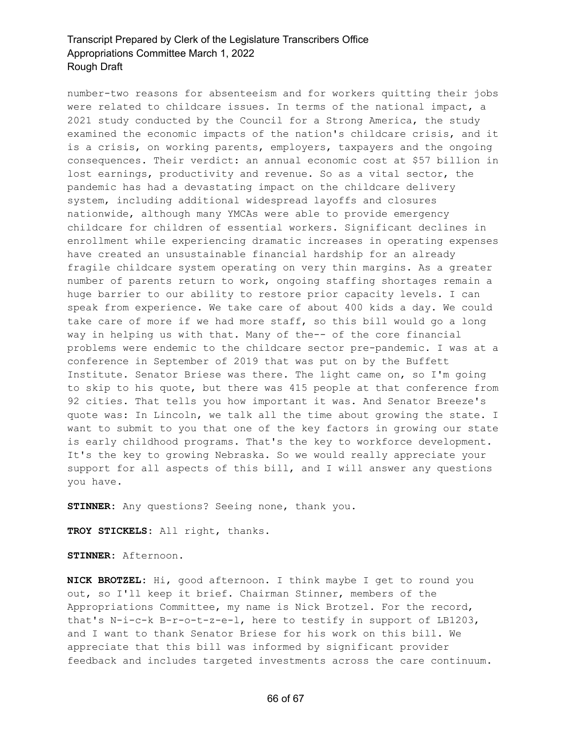number-two reasons for absenteeism and for workers quitting their jobs were related to childcare issues. In terms of the national impact, a 2021 study conducted by the Council for a Strong America, the study examined the economic impacts of the nation's childcare crisis, and it is a crisis, on working parents, employers, taxpayers and the ongoing consequences. Their verdict: an annual economic cost at \$57 billion in lost earnings, productivity and revenue. So as a vital sector, the pandemic has had a devastating impact on the childcare delivery system, including additional widespread layoffs and closures nationwide, although many YMCAs were able to provide emergency childcare for children of essential workers. Significant declines in enrollment while experiencing dramatic increases in operating expenses have created an unsustainable financial hardship for an already fragile childcare system operating on very thin margins. As a greater number of parents return to work, ongoing staffing shortages remain a huge barrier to our ability to restore prior capacity levels. I can speak from experience. We take care of about 400 kids a day. We could take care of more if we had more staff, so this bill would go a long way in helping us with that. Many of the-- of the core financial problems were endemic to the childcare sector pre-pandemic. I was at a conference in September of 2019 that was put on by the Buffett Institute. Senator Briese was there. The light came on, so I'm going to skip to his quote, but there was 415 people at that conference from 92 cities. That tells you how important it was. And Senator Breeze's quote was: In Lincoln, we talk all the time about growing the state. I want to submit to you that one of the key factors in growing our state is early childhood programs. That's the key to workforce development. It's the key to growing Nebraska. So we would really appreciate your support for all aspects of this bill, and I will answer any questions you have.

**STINNER:** Any questions? Seeing none, thank you.

**TROY STICKELS:** All right, thanks.

**STINNER:** Afternoon.

**NICK BROTZEL:** Hi, good afternoon. I think maybe I get to round you out, so I'll keep it brief. Chairman Stinner, members of the Appropriations Committee, my name is Nick Brotzel. For the record, that's N-i-c-k B-r-o-t-z-e-l, here to testify in support of LB1203, and I want to thank Senator Briese for his work on this bill. We appreciate that this bill was informed by significant provider feedback and includes targeted investments across the care continuum.